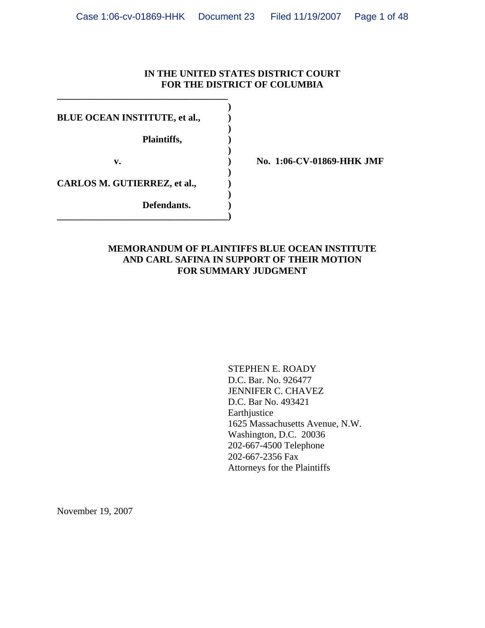### **IN THE UNITED STATES DISTRICT COURT FOR THE DISTRICT OF COLUMBIA**

**BLUE OCEAN INSTITUTE, et al.,**  $\qquad$ **)** 

**\_\_\_\_\_\_\_\_\_\_\_\_\_\_\_\_\_\_\_\_\_\_\_\_\_\_\_\_\_\_\_\_\_\_\_\_ )** 

 **)** 

 **)** 

 **)** 

 **)** 

 **Plaintiffs, )** 

**CARLOS M. GUTIERREZ, et al., )** 

 **Defendants. ) \_\_\_\_\_\_\_\_\_\_\_\_\_\_\_\_\_\_\_\_\_\_\_\_\_\_\_\_\_\_\_\_\_\_\_\_)** 

v. 1:06-CV-01869-HHK JMF

### **MEMORANDUM OF PLAINTIFFS BLUE OCEAN INSTITUTE AND CARL SAFINA IN SUPPORT OF THEIR MOTION FOR SUMMARY JUDGMENT**

 STEPHEN E. ROADY D.C. Bar. No. 926477 JENNIFER C. CHAVEZ D.C. Bar No. 493421 Earthjustice 1625 Massachusetts Avenue, N.W. Washington, D.C. 20036 202-667-4500 Telephone 202-667-2356 Fax Attorneys for the Plaintiffs

November 19, 2007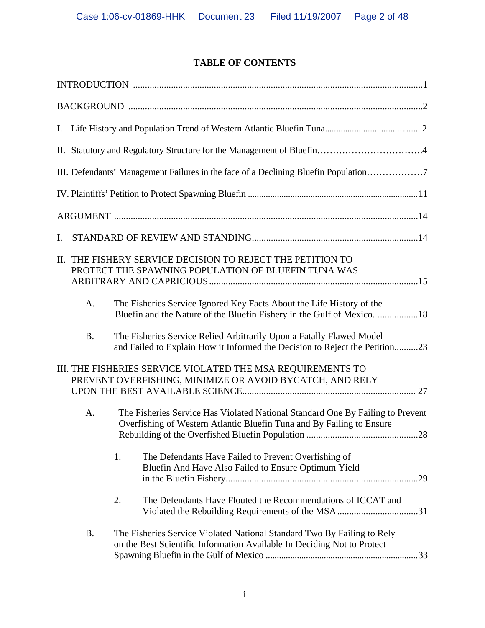# **TABLE OF CONTENTS**

|    |           | III. Defendants' Management Failures in the face of a Declining Bluefin Population                                                                             |
|----|-----------|----------------------------------------------------------------------------------------------------------------------------------------------------------------|
|    |           |                                                                                                                                                                |
|    |           |                                                                                                                                                                |
| I. |           |                                                                                                                                                                |
|    |           | II. THE FISHERY SERVICE DECISION TO REJECT THE PETITION TO<br>PROTECT THE SPAWNING POPULATION OF BLUEFIN TUNA WAS                                              |
|    | A.        | The Fisheries Service Ignored Key Facts About the Life History of the<br>Bluefin and the Nature of the Bluefin Fishery in the Gulf of Mexico. 18               |
|    | <b>B.</b> | The Fisheries Service Relied Arbitrarily Upon a Fatally Flawed Model<br>and Failed to Explain How it Informed the Decision to Reject the Petition23            |
|    |           | III. THE FISHERIES SERVICE VIOLATED THE MSA REQUIREMENTS TO<br>PREVENT OVERFISHING, MINIMIZE OR AVOID BYCATCH, AND RELY                                        |
|    | A.        | The Fisheries Service Has Violated National Standard One By Failing to Prevent<br>Overfishing of Western Atlantic Bluefin Tuna and By Failing to Ensure<br>.28 |
|    |           | 1.<br>The Defendants Have Failed to Prevent Overfishing of<br>Bluefin And Have Also Failed to Ensure Optimum Yield                                             |
|    |           | The Defendants Have Flouted the Recommendations of ICCAT and<br>2.<br>Violated the Rebuilding Requirements of the MSA31                                        |
|    | <b>B.</b> | The Fisheries Service Violated National Standard Two By Failing to Rely<br>on the Best Scientific Information Available In Deciding Not to Protect             |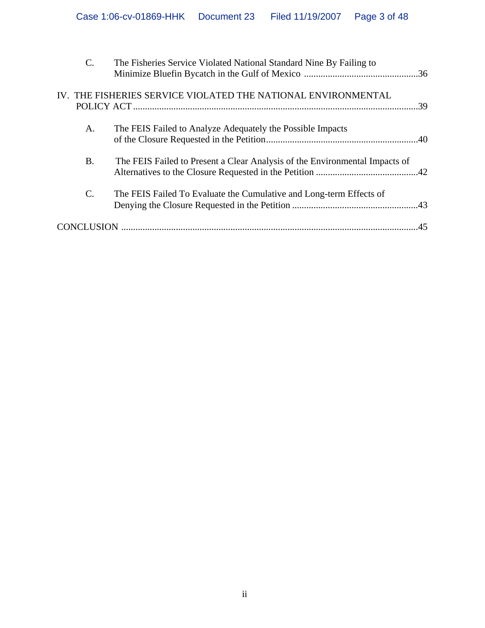| $\mathcal{C}$ . | The Fisheries Service Violated National Standard Nine By Failing to         |     |
|-----------------|-----------------------------------------------------------------------------|-----|
|                 | IV. THE FISHERIES SERVICE VIOLATED THE NATIONAL ENVIRONMENTAL               | .39 |
| A.              | The FEIS Failed to Analyze Adequately the Possible Impacts                  |     |
| <b>B.</b>       | The FEIS Failed to Present a Clear Analysis of the Environmental Impacts of |     |
| $\mathcal{C}$ . | The FEIS Failed To Evaluate the Cumulative and Long-term Effects of         |     |
|                 |                                                                             | 45  |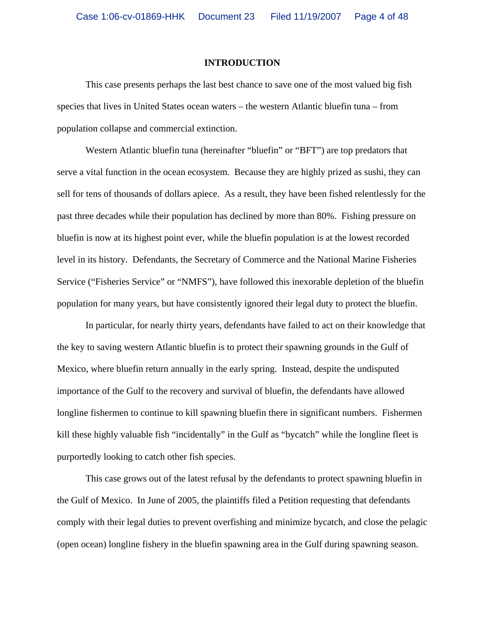#### **INTRODUCTION**

 This case presents perhaps the last best chance to save one of the most valued big fish species that lives in United States ocean waters – the western Atlantic bluefin tuna – from population collapse and commercial extinction.

 Western Atlantic bluefin tuna (hereinafter "bluefin" or "BFT") are top predators that serve a vital function in the ocean ecosystem. Because they are highly prized as sushi, they can sell for tens of thousands of dollars apiece. As a result, they have been fished relentlessly for the past three decades while their population has declined by more than 80%. Fishing pressure on bluefin is now at its highest point ever, while the bluefin population is at the lowest recorded level in its history. Defendants, the Secretary of Commerce and the National Marine Fisheries Service ("Fisheries Service" or "NMFS"), have followed this inexorable depletion of the bluefin population for many years, but have consistently ignored their legal duty to protect the bluefin.

 In particular, for nearly thirty years, defendants have failed to act on their knowledge that the key to saving western Atlantic bluefin is to protect their spawning grounds in the Gulf of Mexico, where bluefin return annually in the early spring. Instead, despite the undisputed importance of the Gulf to the recovery and survival of bluefin, the defendants have allowed longline fishermen to continue to kill spawning bluefin there in significant numbers. Fishermen kill these highly valuable fish "incidentally" in the Gulf as "bycatch" while the longline fleet is purportedly looking to catch other fish species.

 This case grows out of the latest refusal by the defendants to protect spawning bluefin in the Gulf of Mexico. In June of 2005, the plaintiffs filed a Petition requesting that defendants comply with their legal duties to prevent overfishing and minimize bycatch, and close the pelagic (open ocean) longline fishery in the bluefin spawning area in the Gulf during spawning season.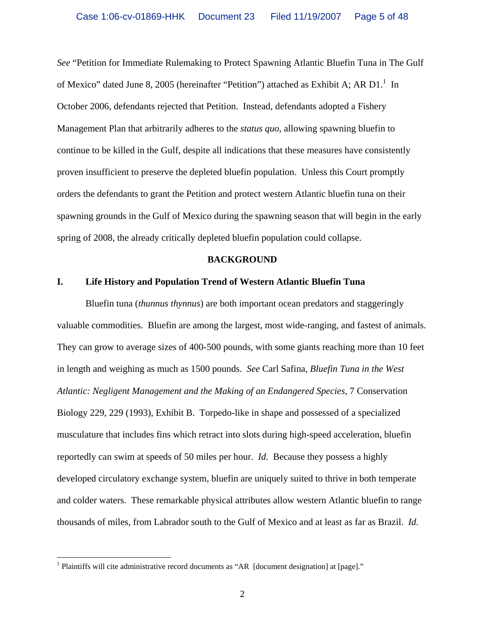*See* "Petition for Immediate Rulemaking to Protect Spawning Atlantic Bluefin Tuna in The Gulf of Mexico" dated June 8, 2005 (hereinafter "Petition") attached as Exhibit A; AR D1.<sup>1</sup> In October 2006, defendants rejected that Petition. Instead, defendants adopted a Fishery Management Plan that arbitrarily adheres to the *status quo*, allowing spawning bluefin to continue to be killed in the Gulf, despite all indications that these measures have consistently proven insufficient to preserve the depleted bluefin population. Unless this Court promptly orders the defendants to grant the Petition and protect western Atlantic bluefin tuna on their spawning grounds in the Gulf of Mexico during the spawning season that will begin in the early spring of 2008, the already critically depleted bluefin population could collapse.

#### **BACKGROUND**

#### **I. Life History and Population Trend of Western Atlantic Bluefin Tuna**

 Bluefin tuna (*thunnus thynnus*) are both important ocean predators and staggeringly valuable commodities. Bluefin are among the largest, most wide-ranging, and fastest of animals. They can grow to average sizes of 400-500 pounds, with some giants reaching more than 10 feet in length and weighing as much as 1500 pounds. *See* Carl Safina*, Bluefin Tuna in the West Atlantic: Negligent Management and the Making of an Endangered Species,* 7 Conservation Biology 229, 229 (1993), Exhibit B. Torpedo-like in shape and possessed of a specialized musculature that includes fins which retract into slots during high-speed acceleration, bluefin reportedly can swim at speeds of 50 miles per hour. *Id.* Because they possess a highly developed circulatory exchange system, bluefin are uniquely suited to thrive in both temperate and colder waters. These remarkable physical attributes allow western Atlantic bluefin to range thousands of miles, from Labrador south to the Gulf of Mexico and at least as far as Brazil. *Id.*

 $\overline{a}$ 

<sup>&</sup>lt;sup>1</sup> Plaintiffs will cite administrative record documents as "AR [document designation] at [page]."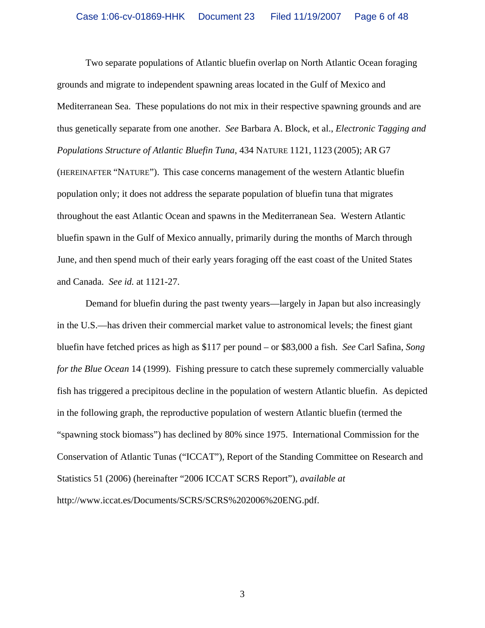Two separate populations of Atlantic bluefin overlap on North Atlantic Ocean foraging grounds and migrate to independent spawning areas located in the Gulf of Mexico and Mediterranean Sea. These populations do not mix in their respective spawning grounds and are thus genetically separate from one another. *See* Barbara A. Block, et al., *Electronic Tagging and Populations Structure of Atlantic Bluefin Tuna*, 434 NATURE 1121, 1123 (2005); AR G7 (HEREINAFTER "NATURE"). This case concerns management of the western Atlantic bluefin population only; it does not address the separate population of bluefin tuna that migrates throughout the east Atlantic Ocean and spawns in the Mediterranean Sea. Western Atlantic bluefin spawn in the Gulf of Mexico annually, primarily during the months of March through June, and then spend much of their early years foraging off the east coast of the United States and Canada. *See id.* at 1121-27.

 Demand for bluefin during the past twenty years—largely in Japan but also increasingly in the U.S.—has driven their commercial market value to astronomical levels; the finest giant bluefin have fetched prices as high as \$117 per pound – or \$83,000 a fish. *See* Carl Safina, *Song for the Blue Ocean* 14 (1999). Fishing pressure to catch these supremely commercially valuable fish has triggered a precipitous decline in the population of western Atlantic bluefin. As depicted in the following graph, the reproductive population of western Atlantic bluefin (termed the "spawning stock biomass") has declined by 80% since 1975. International Commission for the Conservation of Atlantic Tunas ("ICCAT"), Report of the Standing Committee on Research and Statistics 51 (2006) (hereinafter "2006 ICCAT SCRS Report"), *available at*  http://www.iccat.es/Documents/SCRS/SCRS%202006%20ENG.pdf.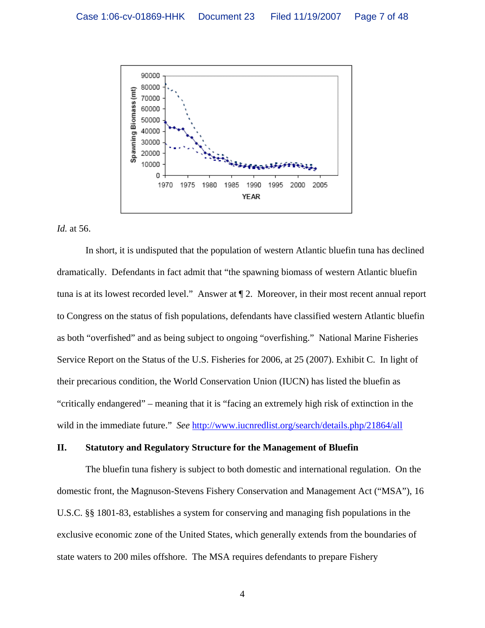

*Id.* at 56.

 In short, it is undisputed that the population of western Atlantic bluefin tuna has declined dramatically. Defendants in fact admit that "the spawning biomass of western Atlantic bluefin tuna is at its lowest recorded level." Answer at ¶ 2. Moreover, in their most recent annual report to Congress on the status of fish populations, defendants have classified western Atlantic bluefin as both "overfished" and as being subject to ongoing "overfishing." National Marine Fisheries Service Report on the Status of the U.S. Fisheries for 2006, at 25 (2007). Exhibit C. In light of their precarious condition, the World Conservation Union (IUCN) has listed the bluefin as "critically endangered" – meaning that it is "facing an extremely high risk of extinction in the wild in the immediate future." *See* http://www.iucnredlist.org/search/details.php/21864/all

#### **II. Statutory and Regulatory Structure for the Management of Bluefin**

 The bluefin tuna fishery is subject to both domestic and international regulation. On the domestic front, the Magnuson-Stevens Fishery Conservation and Management Act ("MSA"), 16 U.S.C. §§ 1801-83, establishes a system for conserving and managing fish populations in the exclusive economic zone of the United States, which generally extends from the boundaries of state waters to 200 miles offshore. The MSA requires defendants to prepare Fishery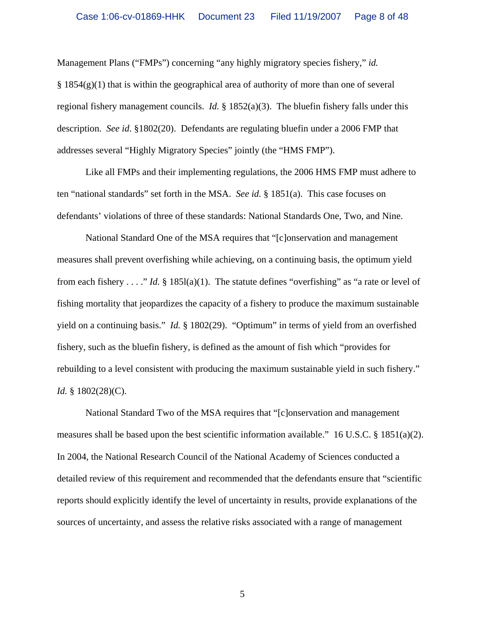Management Plans ("FMPs") concerning "any highly migratory species fishery," *id.*  $§$  1854(g)(1) that is within the geographical area of authority of more than one of several regional fishery management councils. *Id.* § 1852(a)(3). The bluefin fishery falls under this description. *See id*. §1802(20). Defendants are regulating bluefin under a 2006 FMP that addresses several "Highly Migratory Species" jointly (the "HMS FMP").

 Like all FMPs and their implementing regulations, the 2006 HMS FMP must adhere to ten "national standards" set forth in the MSA. *See id.* § 1851(a). This case focuses on defendants' violations of three of these standards: National Standards One, Two, and Nine.

National Standard One of the MSA requires that "[c]onservation and management measures shall prevent overfishing while achieving, on a continuing basis, the optimum yield from each fishery . . . ." *Id.* § 185l(a)(1). The statute defines "overfishing" as "a rate or level of fishing mortality that jeopardizes the capacity of a fishery to produce the maximum sustainable yield on a continuing basis." *Id.* § 1802(29). "Optimum" in terms of yield from an overfished fishery, such as the bluefin fishery, is defined as the amount of fish which "provides for rebuilding to a level consistent with producing the maximum sustainable yield in such fishery." *Id.* § 1802(28)(C).

National Standard Two of the MSA requires that "[c]onservation and management measures shall be based upon the best scientific information available." 16 U.S.C. § 1851(a)(2). In 2004, the National Research Council of the National Academy of Sciences conducted a detailed review of this requirement and recommended that the defendants ensure that "scientific reports should explicitly identify the level of uncertainty in results, provide explanations of the sources of uncertainty, and assess the relative risks associated with a range of management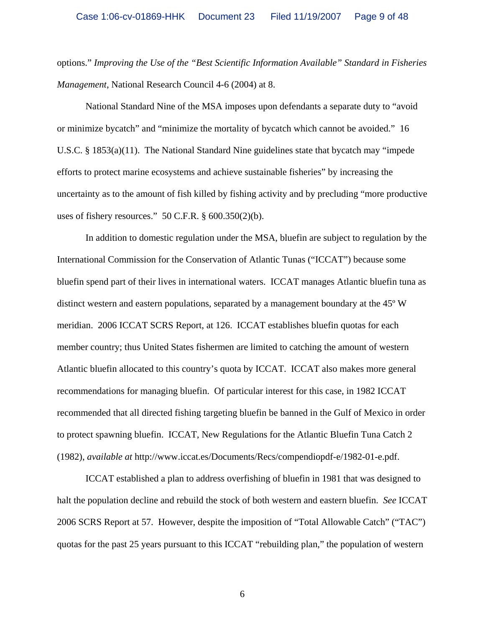options." *Improving the Use of the "Best Scientific Information Available" Standard in Fisheries Management*, National Research Council 4-6 (2004) at 8.

National Standard Nine of the MSA imposes upon defendants a separate duty to "avoid or minimize bycatch" and "minimize the mortality of bycatch which cannot be avoided." 16 U.S.C. § 1853(a)(11). The National Standard Nine guidelines state that bycatch may "impede efforts to protect marine ecosystems and achieve sustainable fisheries" by increasing the uncertainty as to the amount of fish killed by fishing activity and by precluding "more productive uses of fishery resources."  $50$  C.F.R.  $\S$  600.350(2)(b).

 In addition to domestic regulation under the MSA, bluefin are subject to regulation by the International Commission for the Conservation of Atlantic Tunas ("ICCAT") because some bluefin spend part of their lives in international waters. ICCAT manages Atlantic bluefin tuna as distinct western and eastern populations, separated by a management boundary at the 45º W meridian. 2006 ICCAT SCRS Report, at 126. ICCAT establishes bluefin quotas for each member country; thus United States fishermen are limited to catching the amount of western Atlantic bluefin allocated to this country's quota by ICCAT. ICCAT also makes more general recommendations for managing bluefin. Of particular interest for this case, in 1982 ICCAT recommended that all directed fishing targeting bluefin be banned in the Gulf of Mexico in order to protect spawning bluefin. ICCAT, New Regulations for the Atlantic Bluefin Tuna Catch 2 (1982), *available at* http://www.iccat.es/Documents/Recs/compendiopdf-e/1982-01-e.pdf.

 ICCAT established a plan to address overfishing of bluefin in 1981 that was designed to halt the population decline and rebuild the stock of both western and eastern bluefin. *See* ICCAT 2006 SCRS Report at 57. However, despite the imposition of "Total Allowable Catch" ("TAC") quotas for the past 25 years pursuant to this ICCAT "rebuilding plan," the population of western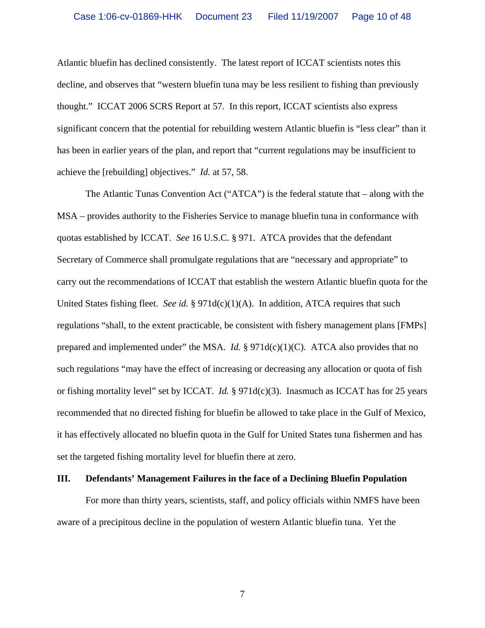Atlantic bluefin has declined consistently. The latest report of ICCAT scientists notes this decline, and observes that "western bluefin tuna may be less resilient to fishing than previously thought." ICCAT 2006 SCRS Report at 57. In this report, ICCAT scientists also express significant concern that the potential for rebuilding western Atlantic bluefin is "less clear" than it has been in earlier years of the plan, and report that "current regulations may be insufficient to achieve the [rebuilding] objectives." *Id.* at 57, 58.

 The Atlantic Tunas Convention Act ("ATCA") is the federal statute that – along with the MSA – provides authority to the Fisheries Service to manage bluefin tuna in conformance with quotas established by ICCAT. *See* 16 U.S.C. § 971. ATCA provides that the defendant Secretary of Commerce shall promulgate regulations that are "necessary and appropriate" to carry out the recommendations of ICCAT that establish the western Atlantic bluefin quota for the United States fishing fleet. *See id.* § 971d(c)(1)(A). In addition, ATCA requires that such regulations "shall, to the extent practicable, be consistent with fishery management plans [FMPs] prepared and implemented under" the MSA. *Id.* § 971d(c)(1)(C). ATCA also provides that no such regulations "may have the effect of increasing or decreasing any allocation or quota of fish or fishing mortality level" set by ICCAT. *Id.* § 971d(c)(3). Inasmuch as ICCAT has for 25 years recommended that no directed fishing for bluefin be allowed to take place in the Gulf of Mexico, it has effectively allocated no bluefin quota in the Gulf for United States tuna fishermen and has set the targeted fishing mortality level for bluefin there at zero.

#### **III. Defendants' Management Failures in the face of a Declining Bluefin Population**

 For more than thirty years, scientists, staff, and policy officials within NMFS have been aware of a precipitous decline in the population of western Atlantic bluefin tuna. Yet the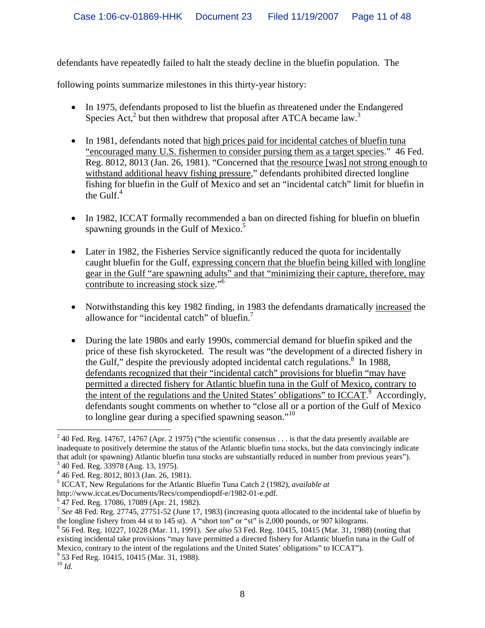defendants have repeatedly failed to halt the steady decline in the bluefin population. The

following points summarize milestones in this thirty-year history:

- In 1975, defendants proposed to list the bluefin as threatened under the Endangered Species Act, $^2$  but then withdrew that proposal after ATCA became law. $^3$
- In 1981, defendants noted that high prices paid for incidental catches of bluefin tuna "encouraged many U.S. fishermen to consider pursing them as a target species." 46 Fed. Reg. 8012, 8013 (Jan. 26, 1981). "Concerned that the resource [was] not strong enough to withstand additional heavy fishing pressure," defendants prohibited directed longline fishing for bluefin in the Gulf of Mexico and set an "incidental catch" limit for bluefin in the Gulf. $4$
- In 1982, ICCAT formally recommended a ban on directed fishing for bluefin on bluefin spawning grounds in the Gulf of Mexico.<sup>5</sup>
- Later in 1982, the Fisheries Service significantly reduced the quota for incidentally caught bluefin for the Gulf, expressing concern that the bluefin being killed with longline gear in the Gulf "are spawning adults" and that "minimizing their capture, therefore, may contribute to increasing stock size."<sup>6</sup>
- Notwithstanding this key 1982 finding, in 1983 the defendants dramatically increased the allowance for "incidental catch" of bluefin. $^7$
- During the late 1980s and early 1990s, commercial demand for bluefin spiked and the price of these fish skyrocketed. The result was "the development of a directed fishery in the Gulf," despite the previously adopted incidental catch regulations.<sup>8</sup> In 1988, defendants recognized that their "incidental catch" provisions for bluefin "may have permitted a directed fishery for Atlantic bluefin tuna in the Gulf of Mexico, contrary to the intent of the regulations and the United States' obligations" to ICCAT.<sup>9</sup> Accordingly, defendants sought comments on whether to "close all or a portion of the Gulf of Mexico to longline gear during a specified spawning season."<sup>10</sup>

 $\overline{a}$ <sup>2</sup> 40 Fed. Reg. 14767, 14767 (Apr. 2 1975) ("the scientific consensus . . . is that the data presently available are inadequate to positively determine the status of the Atlantic bluefin tuna stocks, but the data convincingly indicate that adult (or spawning) Atlantic bluefin tuna stocks are substantially reduced in number from previous years"). 3  $3$  40 Fed. Reg. 33978 (Aug. 13, 1975).

<sup>4</sup> 46 Fed. Reg. 8012, 8013 (Jan. 26, 1981).

<sup>5</sup> ICCAT, New Regulations for the Atlantic Bluefin Tuna Catch 2 (1982), *available at* 

http://www.iccat.es/Documents/Recs/compendiopdf-e/1982-01-e.pdf.

<sup>&</sup>lt;sup>6</sup> 47 Fed. Reg. 17086, 17089 (Apr. 21, 1982).

<sup>7</sup> *See* 48 Fed. Reg. 27745, 27751-52 (June 17, 1983) (increasing quota allocated to the incidental take of bluefin by the longline fishery from 44 st to 145 st). A "short ton" or "st" is 2,000 pounds, or 907 kilograms.

<sup>8</sup> 56 Fed. Reg. 10227, 10228 (Mar. 11, 1991). *See also* 53 Fed. Reg. 10415, 10415 (Mar. 31, 1988) (noting that existing incidental take provisions "may have permitted a directed fishery for Atlantic bluefin tuna in the Gulf of Mexico, contrary to the intent of the regulations and the United States' obligations" to ICCAT").

<sup>9</sup> 53 Fed Reg. 10415, 10415 (Mar. 31, 1988).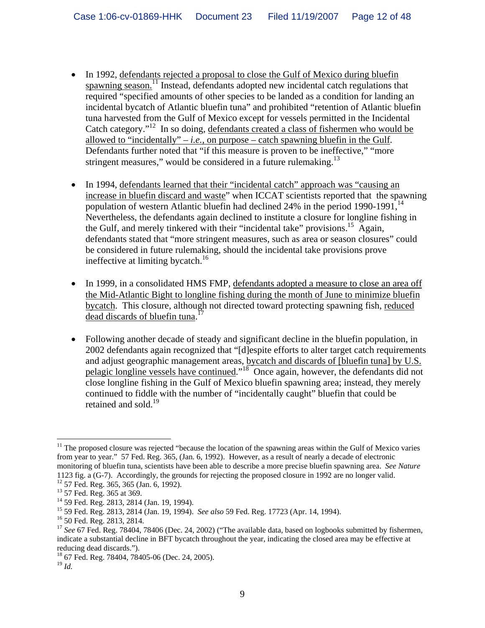- In 1992, defendants rejected a proposal to close the Gulf of Mexico during bluefin spawning season.<sup>11</sup> Instead, defendants adopted new incidental catch regulations that required "specified amounts of other species to be landed as a condition for landing an incidental bycatch of Atlantic bluefin tuna" and prohibited "retention of Atlantic bluefin tuna harvested from the Gulf of Mexico except for vessels permitted in the Incidental Catch category."12 In so doing, defendants created a class of fishermen who would be allowed to "incidentally"  $-i.e.,$  on purpose  $-$  catch spawning bluefin in the Gulf. Defendants further noted that "if this measure is proven to be ineffective," "more stringent measures," would be considered in a future rulemaking. $^{13}$
- In 1994, defendants learned that their "incidental catch" approach was "causing an increase in bluefin discard and waste" when ICCAT scientists reported that the spawning population of western Atlantic bluefin had declined  $24\%$  in the period 1990-1991,  $^{14}$ Nevertheless, the defendants again declined to institute a closure for longline fishing in the Gulf, and merely tinkered with their "incidental take" provisions.<sup>15</sup> Again, defendants stated that "more stringent measures, such as area or season closures" could be considered in future rulemaking, should the incidental take provisions prove ineffective at limiting bycatch.<sup>16</sup>
- In 1999, in a consolidated HMS FMP, defendants adopted a measure to close an area off the Mid-Atlantic Bight to longline fishing during the month of June to minimize bluefin bycatch. This closure, although not directed toward protecting spawning fish, reduced  $\frac{d}{dt}$  dead discards of bluefin tuna.<sup>17</sup>
- Following another decade of steady and significant decline in the bluefin population, in 2002 defendants again recognized that "[d]espite efforts to alter target catch requirements and adjust geographic management areas, bycatch and discards of [bluefin tuna] by U.S. pelagic longline vessels have continued."18 Once again, however, the defendants did not close longline fishing in the Gulf of Mexico bluefin spawning area; instead, they merely continued to fiddle with the number of "incidentally caught" bluefin that could be retained and sold.<sup>19</sup>

 $\overline{a}$ 

 $11$  The proposed closure was rejected "because the location of the spawning areas within the Gulf of Mexico varies from year to year." 57 Fed. Reg. 365, (Jan. 6, 1992). However, as a result of nearly a decade of electronic monitoring of bluefin tuna, scientists have been able to describe a more precise bluefin spawning area. *See Nature* 1123 fig. a (G-7). Accordingly, the grounds for rejecting the proposed closure in 1992 are no longer valid. 12 57 Fed. Reg. 365, 365 (Jan. 6, 1992).

<sup>&</sup>lt;sup>13</sup> 57 Fed. Reg. 365 at 369.

<sup>14 59</sup> Fed. Reg. 2813, 2814 (Jan. 19, 1994).

<sup>15 59</sup> Fed. Reg. 2813, 2814 (Jan. 19, 1994). *See also* 59 Fed. Reg. 17723 (Apr. 14, 1994). 16 50 Fed. Reg. 2813, 2814.

<sup>&</sup>lt;sup>17</sup> See 67 Fed. Reg. 78404, 78406 (Dec. 24, 2002) ("The available data, based on logbooks submitted by fishermen, indicate a substantial decline in BFT bycatch throughout the year, indicating the closed area may be effective at reducing dead discards.").

<sup>18 67</sup> Fed. Reg. 78404, 78405-06 (Dec. 24, 2005).

<sup>19</sup> *Id.*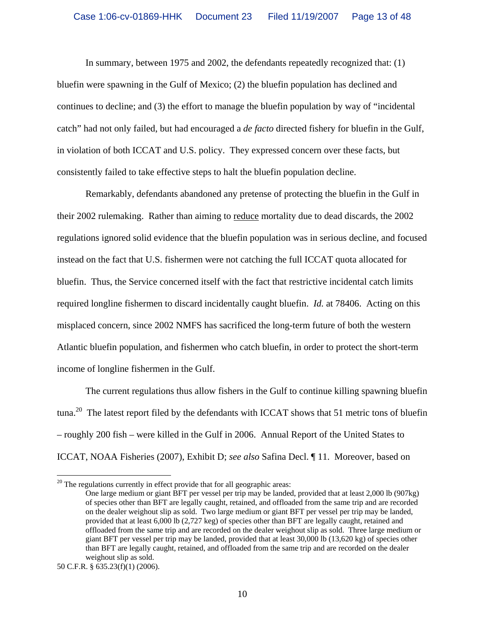In summary, between 1975 and 2002, the defendants repeatedly recognized that: (1) bluefin were spawning in the Gulf of Mexico; (2) the bluefin population has declined and continues to decline; and (3) the effort to manage the bluefin population by way of "incidental catch" had not only failed, but had encouraged a *de facto* directed fishery for bluefin in the Gulf, in violation of both ICCAT and U.S. policy. They expressed concern over these facts, but consistently failed to take effective steps to halt the bluefin population decline.

 Remarkably, defendants abandoned any pretense of protecting the bluefin in the Gulf in their 2002 rulemaking. Rather than aiming to reduce mortality due to dead discards, the 2002 regulations ignored solid evidence that the bluefin population was in serious decline, and focused instead on the fact that U.S. fishermen were not catching the full ICCAT quota allocated for bluefin. Thus, the Service concerned itself with the fact that restrictive incidental catch limits required longline fishermen to discard incidentally caught bluefin. *Id.* at 78406. Acting on this misplaced concern, since 2002 NMFS has sacrificed the long-term future of both the western Atlantic bluefin population, and fishermen who catch bluefin, in order to protect the short-term income of longline fishermen in the Gulf.

The current regulations thus allow fishers in the Gulf to continue killing spawning bluefin tuna.<sup>20</sup> The latest report filed by the defendants with ICCAT shows that 51 metric tons of bluefin – roughly 200 fish – were killed in the Gulf in 2006. Annual Report of the United States to ICCAT, NOAA Fisheries (2007), Exhibit D; *see also* Safina Decl. ¶ 11. Moreover, based on

 $\overline{a}$ 

 $20$  The regulations currently in effect provide that for all geographic areas:

One large medium or giant BFT per vessel per trip may be landed, provided that at least 2,000 lb (907kg) of species other than BFT are legally caught, retained, and offloaded from the same trip and are recorded on the dealer weighout slip as sold. Two large medium or giant BFT per vessel per trip may be landed, provided that at least 6,000 lb (2,727 keg) of species other than BFT are legally caught, retained and offloaded from the same trip and are recorded on the dealer weighout slip as sold. Three large medium or giant BFT per vessel per trip may be landed, provided that at least 30,000 lb (13,620 kg) of species other than BFT are legally caught, retained, and offloaded from the same trip and are recorded on the dealer weighout slip as sold.

<sup>50</sup> C.F.R. § 635.23(f)(1) (2006).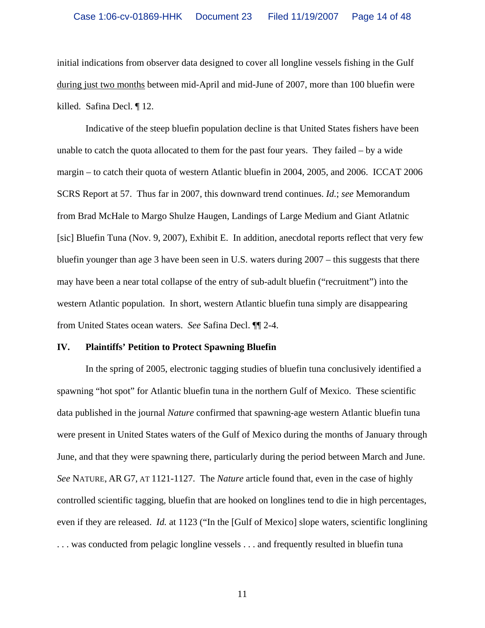initial indications from observer data designed to cover all longline vessels fishing in the Gulf during just two months between mid-April and mid-June of 2007, more than 100 bluefin were killed. Safina Decl. ¶ 12.

 Indicative of the steep bluefin population decline is that United States fishers have been unable to catch the quota allocated to them for the past four years. They failed – by a wide margin – to catch their quota of western Atlantic bluefin in 2004, 2005, and 2006. ICCAT 2006 SCRS Report at 57. Thus far in 2007, this downward trend continues. *Id.*; *see* Memorandum from Brad McHale to Margo Shulze Haugen, Landings of Large Medium and Giant Atlatnic [sic] Bluefin Tuna (Nov. 9, 2007), Exhibit E. In addition, anecdotal reports reflect that very few bluefin younger than age 3 have been seen in U.S. waters during 2007 – this suggests that there may have been a near total collapse of the entry of sub-adult bluefin ("recruitment") into the western Atlantic population. In short, western Atlantic bluefin tuna simply are disappearing from United States ocean waters. *See* Safina Decl. ¶¶ 2-4.

#### **IV. Plaintiffs' Petition to Protect Spawning Bluefin**

 In the spring of 2005, electronic tagging studies of bluefin tuna conclusively identified a spawning "hot spot" for Atlantic bluefin tuna in the northern Gulf of Mexico. These scientific data published in the journal *Nature* confirmed that spawning-age western Atlantic bluefin tuna were present in United States waters of the Gulf of Mexico during the months of January through June, and that they were spawning there, particularly during the period between March and June. *See* NATURE, AR G7, AT 1121-1127. The *Nature* article found that, even in the case of highly controlled scientific tagging, bluefin that are hooked on longlines tend to die in high percentages, even if they are released. *Id.* at 1123 ("In the [Gulf of Mexico] slope waters, scientific longlining ... was conducted from pelagic longline vessels ... and frequently resulted in bluefin tuna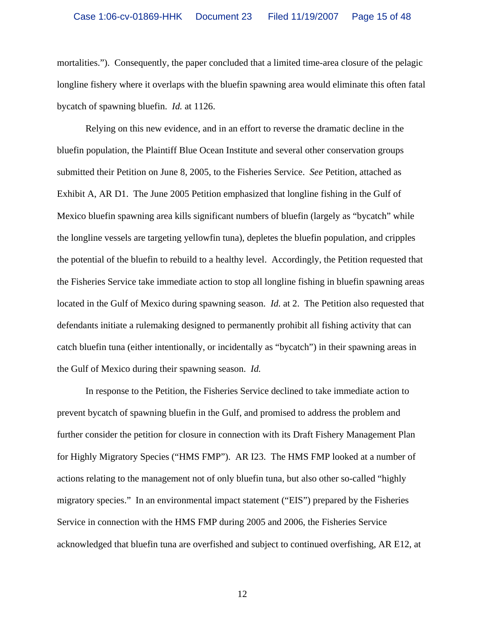mortalities."). Consequently, the paper concluded that a limited time-area closure of the pelagic longline fishery where it overlaps with the bluefin spawning area would eliminate this often fatal bycatch of spawning bluefin. *Id.* at 1126.

 Relying on this new evidence, and in an effort to reverse the dramatic decline in the bluefin population, the Plaintiff Blue Ocean Institute and several other conservation groups submitted their Petition on June 8, 2005, to the Fisheries Service. *See* Petition, attached as Exhibit A, AR D1. The June 2005 Petition emphasized that longline fishing in the Gulf of Mexico bluefin spawning area kills significant numbers of bluefin (largely as "bycatch" while the longline vessels are targeting yellowfin tuna), depletes the bluefin population, and cripples the potential of the bluefin to rebuild to a healthy level. Accordingly, the Petition requested that the Fisheries Service take immediate action to stop all longline fishing in bluefin spawning areas located in the Gulf of Mexico during spawning season. *Id.* at 2. The Petition also requested that defendants initiate a rulemaking designed to permanently prohibit all fishing activity that can catch bluefin tuna (either intentionally, or incidentally as "bycatch") in their spawning areas in the Gulf of Mexico during their spawning season. *Id.*

 In response to the Petition, the Fisheries Service declined to take immediate action to prevent bycatch of spawning bluefin in the Gulf, and promised to address the problem and further consider the petition for closure in connection with its Draft Fishery Management Plan for Highly Migratory Species ("HMS FMP"). AR I23.The HMS FMP looked at a number of actions relating to the management not of only bluefin tuna, but also other so-called "highly migratory species." In an environmental impact statement ("EIS") prepared by the Fisheries Service in connection with the HMS FMP during 2005 and 2006, the Fisheries Service acknowledged that bluefin tuna are overfished and subject to continued overfishing, AR E12, at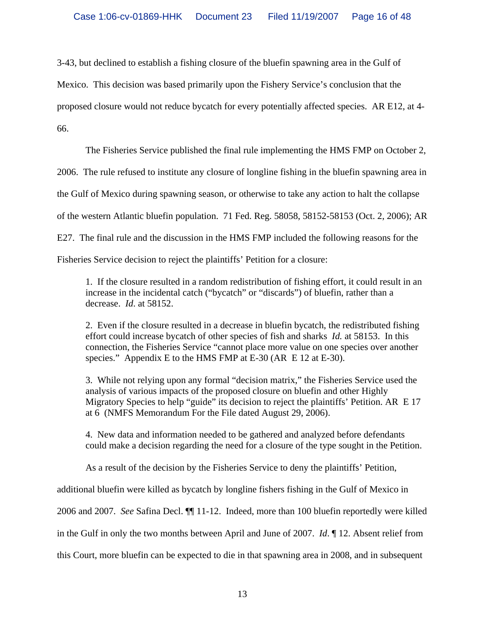3-43, but declined to establish a fishing closure of the bluefin spawning area in the Gulf of

Mexico. This decision was based primarily upon the Fishery Service's conclusion that the

proposed closure would not reduce bycatch for every potentially affected species. AR E12, at 4-

66.

The Fisheries Service published the final rule implementing the HMS FMP on October 2,

2006. The rule refused to institute any closure of longline fishing in the bluefin spawning area in

the Gulf of Mexico during spawning season, or otherwise to take any action to halt the collapse

of the western Atlantic bluefin population. 71 Fed. Reg. 58058, 58152-58153 (Oct. 2, 2006); AR

E27. The final rule and the discussion in the HMS FMP included the following reasons for the

Fisheries Service decision to reject the plaintiffs' Petition for a closure:

1. If the closure resulted in a random redistribution of fishing effort, it could result in an increase in the incidental catch ("bycatch" or "discards") of bluefin, rather than a decrease. *Id*. at 58152.

2. Even if the closure resulted in a decrease in bluefin bycatch, the redistributed fishing effort could increase bycatch of other species of fish and sharks *Id.* at 58153. In this connection, the Fisheries Service "cannot place more value on one species over another species." Appendix E to the HMS FMP at E-30 (AR E 12 at E-30).

3. While not relying upon any formal "decision matrix," the Fisheries Service used the analysis of various impacts of the proposed closure on bluefin and other Highly Migratory Species to help "guide" its decision to reject the plaintiffs' Petition. AR E 17 at 6 (NMFS Memorandum For the File dated August 29, 2006).

4. New data and information needed to be gathered and analyzed before defendants could make a decision regarding the need for a closure of the type sought in the Petition.

As a result of the decision by the Fisheries Service to deny the plaintiffs' Petition,

additional bluefin were killed as bycatch by longline fishers fishing in the Gulf of Mexico in

2006 and 2007. *See* Safina Decl. ¶¶ 11-12. Indeed, more than 100 bluefin reportedly were killed

in the Gulf in only the two months between April and June of 2007. *Id*. ¶ 12. Absent relief from

this Court, more bluefin can be expected to die in that spawning area in 2008, and in subsequent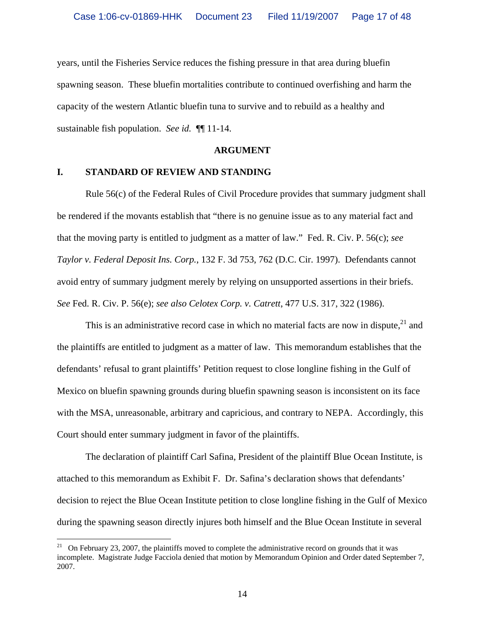years, until the Fisheries Service reduces the fishing pressure in that area during bluefin spawning season. These bluefin mortalities contribute to continued overfishing and harm the capacity of the western Atlantic bluefin tuna to survive and to rebuild as a healthy and sustainable fish population. *See id.* ¶¶ 11-14.

#### **ARGUMENT**

#### **I. STANDARD OF REVIEW AND STANDING**

1

 Rule 56(c) of the Federal Rules of Civil Procedure provides that summary judgment shall be rendered if the movants establish that "there is no genuine issue as to any material fact and that the moving party is entitled to judgment as a matter of law." Fed. R. Civ. P. 56(c); *see Taylor v. Federal Deposit Ins. Corp.*, 132 F. 3d 753, 762 (D.C. Cir. 1997). Defendants cannot avoid entry of summary judgment merely by relying on unsupported assertions in their briefs. *See* Fed. R. Civ. P. 56(e); *see also Celotex Corp. v. Catrett*, 477 U.S. 317, 322 (1986).

This is an administrative record case in which no material facts are now in dispute,  $2<sup>1</sup>$  and the plaintiffs are entitled to judgment as a matter of law. This memorandum establishes that the defendants' refusal to grant plaintiffs' Petition request to close longline fishing in the Gulf of Mexico on bluefin spawning grounds during bluefin spawning season is inconsistent on its face with the MSA, unreasonable, arbitrary and capricious, and contrary to NEPA. Accordingly, this Court should enter summary judgment in favor of the plaintiffs.

 The declaration of plaintiff Carl Safina, President of the plaintiff Blue Ocean Institute, is attached to this memorandum as Exhibit F. Dr. Safina's declaration shows that defendants' decision to reject the Blue Ocean Institute petition to close longline fishing in the Gulf of Mexico during the spawning season directly injures both himself and the Blue Ocean Institute in several

<sup>&</sup>lt;sup>21</sup> On February 23, 2007, the plaintiffs moved to complete the administrative record on grounds that it was incomplete. Magistrate Judge Facciola denied that motion by Memorandum Opinion and Order dated September 7, 2007.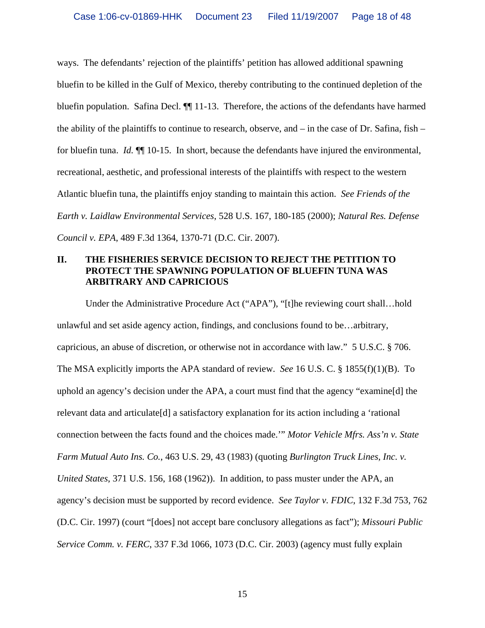ways. The defendants' rejection of the plaintiffs' petition has allowed additional spawning bluefin to be killed in the Gulf of Mexico, thereby contributing to the continued depletion of the bluefin population. Safina Decl.  $\P$  11-13. Therefore, the actions of the defendants have harmed the ability of the plaintiffs to continue to research, observe, and – in the case of Dr. Safina, fish – for bluefin tuna. *Id.* ¶¶ 10-15. In short, because the defendants have injured the environmental, recreational, aesthetic, and professional interests of the plaintiffs with respect to the western Atlantic bluefin tuna, the plaintiffs enjoy standing to maintain this action. *See Friends of the Earth v. Laidlaw Environmental Services*, 528 U.S. 167, 180-185 (2000); *Natural Res. Defense Council v. EPA*, 489 F.3d 1364, 1370-71 (D.C. Cir. 2007).

# **II. THE FISHERIES SERVICE DECISION TO REJECT THE PETITION TO PROTECT THE SPAWNING POPULATION OF BLUEFIN TUNA WAS ARBITRARY AND CAPRICIOUS**

Under the Administrative Procedure Act ("APA"), "[t]he reviewing court shall…hold unlawful and set aside agency action, findings, and conclusions found to be…arbitrary, capricious, an abuse of discretion, or otherwise not in accordance with law." 5 U.S.C. § 706. The MSA explicitly imports the APA standard of review. *See* 16 U.S. C. § 1855(f)(1)(B). To uphold an agency's decision under the APA, a court must find that the agency "examine[d] the relevant data and articulate[d] a satisfactory explanation for its action including a 'rational connection between the facts found and the choices made.'" *Motor Vehicle Mfrs. Ass'n v. State Farm Mutual Auto Ins. Co.*, 463 U.S. 29, 43 (1983) (quoting *Burlington Truck Lines, Inc. v. United States*, 371 U.S. 156, 168 (1962)). In addition, to pass muster under the APA, an agency's decision must be supported by record evidence. *See Taylor v. FDIC*, 132 F.3d 753, 762 (D.C. Cir. 1997) (court "[does] not accept bare conclusory allegations as fact"); *Missouri Public Service Comm. v. FERC*, 337 F.3d 1066, 1073 (D.C. Cir. 2003) (agency must fully explain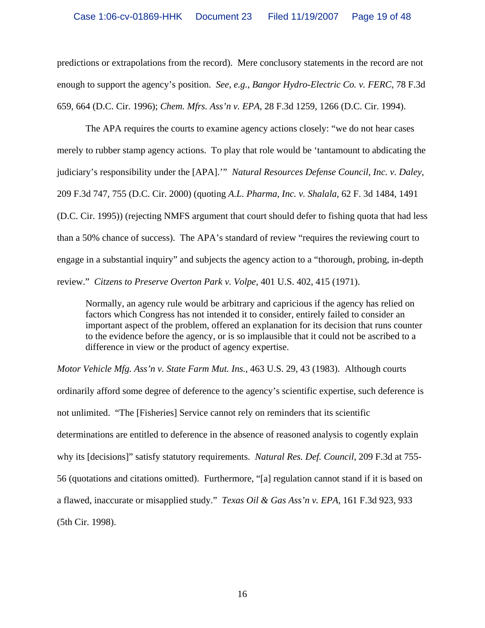predictions or extrapolations from the record). Mere conclusory statements in the record are not enough to support the agency's position. *See, e.g.*, *Bangor Hydro-Electric Co. v. FERC*, 78 F.3d 659, 664 (D.C. Cir. 1996); *Chem. Mfrs. Ass'n v. EPA*, 28 F.3d 1259, 1266 (D.C. Cir. 1994).

 The APA requires the courts to examine agency actions closely: "we do not hear cases merely to rubber stamp agency actions. To play that role would be 'tantamount to abdicating the judiciary's responsibility under the [APA].'" *Natural Resources Defense Council, Inc. v. Daley*, 209 F.3d 747, 755 (D.C. Cir. 2000) (quoting *A.L. Pharma, Inc. v. Shalala,* 62 F. 3d 1484, 1491 (D.C. Cir. 1995)) (rejecting NMFS argument that court should defer to fishing quota that had less than a 50% chance of success). The APA's standard of review "requires the reviewing court to engage in a substantial inquiry" and subjects the agency action to a "thorough, probing, in-depth review." *Citzens to Preserve Overton Park v. Volpe*, 401 U.S. 402, 415 (1971).

Normally, an agency rule would be arbitrary and capricious if the agency has relied on factors which Congress has not intended it to consider, entirely failed to consider an important aspect of the problem, offered an explanation for its decision that runs counter to the evidence before the agency, or is so implausible that it could not be ascribed to a difference in view or the product of agency expertise.

*Motor Vehicle Mfg. Ass'n v. State Farm Mut. Ins.*, 463 U.S. 29, 43 (1983). Although courts ordinarily afford some degree of deference to the agency's scientific expertise, such deference is not unlimited. "The [Fisheries] Service cannot rely on reminders that its scientific determinations are entitled to deference in the absence of reasoned analysis to cogently explain why its [decisions]" satisfy statutory requirements. *Natural Res. Def. Council*, 209 F.3d at 755- 56 (quotations and citations omitted). Furthermore, "[a] regulation cannot stand if it is based on a flawed, inaccurate or misapplied study." *Texas Oil & Gas Ass'n v. EPA*, 161 F.3d 923, 933 (5th Cir. 1998).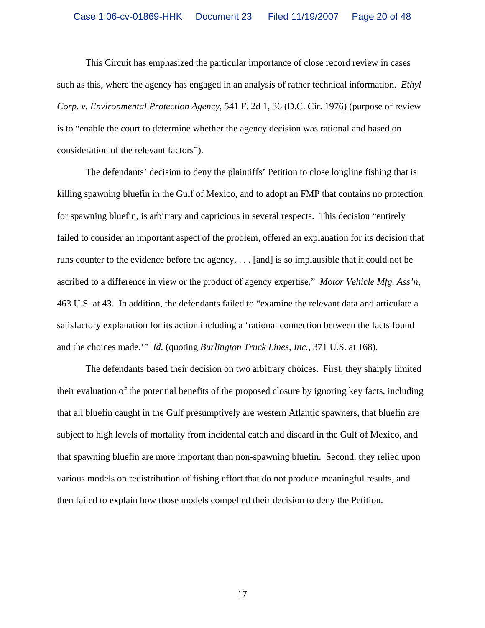This Circuit has emphasized the particular importance of close record review in cases such as this, where the agency has engaged in an analysis of rather technical information. *Ethyl Corp. v. Environmental Protection Agency*, 541 F. 2d 1, 36 (D.C. Cir. 1976) (purpose of review is to "enable the court to determine whether the agency decision was rational and based on consideration of the relevant factors").

The defendants' decision to deny the plaintiffs' Petition to close longline fishing that is killing spawning bluefin in the Gulf of Mexico, and to adopt an FMP that contains no protection for spawning bluefin, is arbitrary and capricious in several respects. This decision "entirely failed to consider an important aspect of the problem, offered an explanation for its decision that runs counter to the evidence before the agency, . . . [and] is so implausible that it could not be ascribed to a difference in view or the product of agency expertise." *Motor Vehicle Mfg. Ass'n*, 463 U.S. at 43. In addition, the defendants failed to "examine the relevant data and articulate a satisfactory explanation for its action including a 'rational connection between the facts found and the choices made.'" *Id.* (quoting *Burlington Truck Lines, Inc.*, 371 U.S. at 168).

The defendants based their decision on two arbitrary choices. First, they sharply limited their evaluation of the potential benefits of the proposed closure by ignoring key facts, including that all bluefin caught in the Gulf presumptively are western Atlantic spawners, that bluefin are subject to high levels of mortality from incidental catch and discard in the Gulf of Mexico, and that spawning bluefin are more important than non-spawning bluefin. Second, they relied upon various models on redistribution of fishing effort that do not produce meaningful results, and then failed to explain how those models compelled their decision to deny the Petition.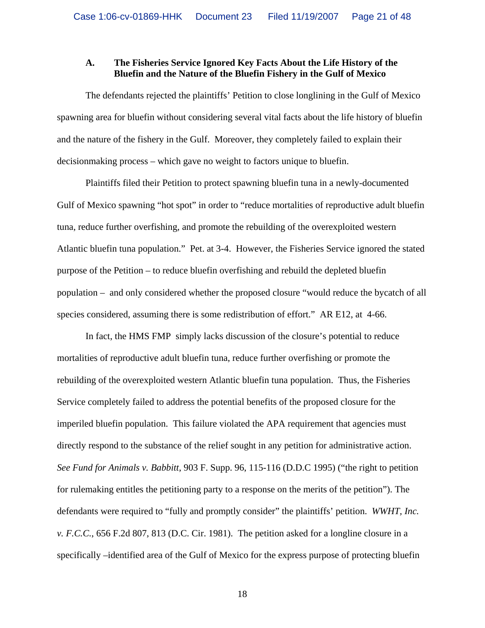#### **A. The Fisheries Service Ignored Key Facts About the Life History of the Bluefin and the Nature of the Bluefin Fishery in the Gulf of Mexico**

 The defendants rejected the plaintiffs' Petition to close longlining in the Gulf of Mexico spawning area for bluefin without considering several vital facts about the life history of bluefin and the nature of the fishery in the Gulf. Moreover, they completely failed to explain their decisionmaking process – which gave no weight to factors unique to bluefin.

Plaintiffs filed their Petition to protect spawning bluefin tuna in a newly-documented Gulf of Mexico spawning "hot spot" in order to "reduce mortalities of reproductive adult bluefin tuna, reduce further overfishing, and promote the rebuilding of the overexploited western Atlantic bluefin tuna population." Pet. at 3-4. However, the Fisheries Service ignored the stated purpose of the Petition – to reduce bluefin overfishing and rebuild the depleted bluefin population – and only considered whether the proposed closure "would reduce the bycatch of all species considered, assuming there is some redistribution of effort." AR E12, at 4-66.

In fact, the HMS FMP simply lacks discussion of the closure's potential to reduce mortalities of reproductive adult bluefin tuna, reduce further overfishing or promote the rebuilding of the overexploited western Atlantic bluefin tuna population. Thus, the Fisheries Service completely failed to address the potential benefits of the proposed closure for the imperiled bluefin population. This failure violated the APA requirement that agencies must directly respond to the substance of the relief sought in any petition for administrative action. *See Fund for Animals v. Babbitt*, 903 F. Supp. 96, 115-116 (D.D.C 1995) ("the right to petition for rulemaking entitles the petitioning party to a response on the merits of the petition"). The defendants were required to "fully and promptly consider" the plaintiffs' petition. *WWHT, Inc. v. F.C.C.*, 656 F.2d 807, 813 (D.C. Cir. 1981). The petition asked for a longline closure in a specifically –identified area of the Gulf of Mexico for the express purpose of protecting bluefin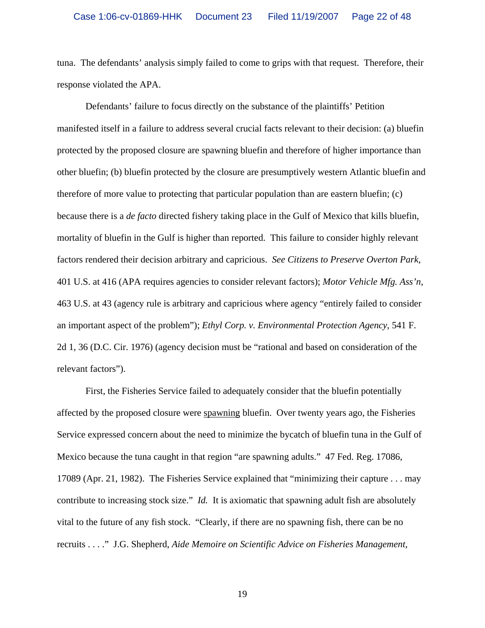tuna. The defendants' analysis simply failed to come to grips with that request. Therefore, their response violated the APA.

Defendants' failure to focus directly on the substance of the plaintiffs' Petition manifested itself in a failure to address several crucial facts relevant to their decision: (a) bluefin protected by the proposed closure are spawning bluefin and therefore of higher importance than other bluefin; (b) bluefin protected by the closure are presumptively western Atlantic bluefin and therefore of more value to protecting that particular population than are eastern bluefin; (c) because there is a *de facto* directed fishery taking place in the Gulf of Mexico that kills bluefin, mortality of bluefin in the Gulf is higher than reported. This failure to consider highly relevant factors rendered their decision arbitrary and capricious. *See Citizens to Preserve Overton Park*, 401 U.S. at 416 (APA requires agencies to consider relevant factors); *Motor Vehicle Mfg. Ass'n*, 463 U.S. at 43 (agency rule is arbitrary and capricious where agency "entirely failed to consider an important aspect of the problem"); *Ethyl Corp. v. Environmental Protection Agency*, 541 F. 2d 1, 36 (D.C. Cir. 1976) (agency decision must be "rational and based on consideration of the relevant factors").

First, the Fisheries Service failed to adequately consider that the bluefin potentially affected by the proposed closure were spawning bluefin. Over twenty years ago, the Fisheries Service expressed concern about the need to minimize the bycatch of bluefin tuna in the Gulf of Mexico because the tuna caught in that region "are spawning adults." 47 Fed. Reg. 17086, 17089 (Apr. 21, 1982). The Fisheries Service explained that "minimizing their capture . . . may contribute to increasing stock size." *Id.* It is axiomatic that spawning adult fish are absolutely vital to the future of any fish stock. "Clearly, if there are no spawning fish, there can be no recruits . . . ." J.G. Shepherd, *Aide Memoire on Scientific Advice on Fisheries Management*,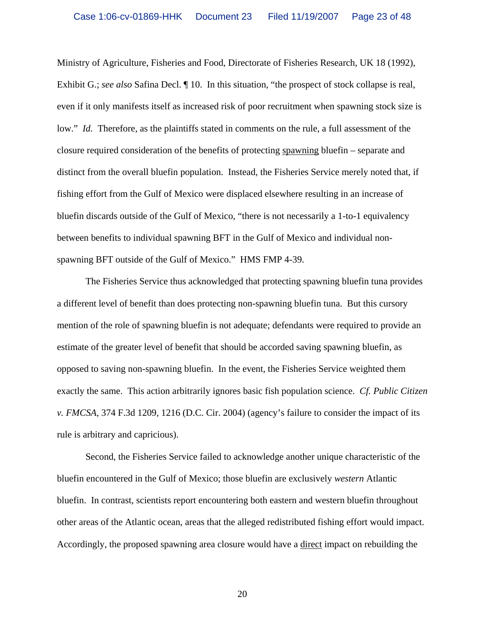Ministry of Agriculture, Fisheries and Food, Directorate of Fisheries Research, UK 18 (1992), Exhibit G.; *see also* Safina Decl. ¶ 10. In this situation, "the prospect of stock collapse is real, even if it only manifests itself as increased risk of poor recruitment when spawning stock size is low." *Id.* Therefore, as the plaintiffs stated in comments on the rule, a full assessment of the closure required consideration of the benefits of protecting spawning bluefin – separate and distinct from the overall bluefin population. Instead, the Fisheries Service merely noted that, if fishing effort from the Gulf of Mexico were displaced elsewhere resulting in an increase of bluefin discards outside of the Gulf of Mexico, "there is not necessarily a 1-to-1 equivalency between benefits to individual spawning BFT in the Gulf of Mexico and individual nonspawning BFT outside of the Gulf of Mexico." HMS FMP 4-39.

 The Fisheries Service thus acknowledged that protecting spawning bluefin tuna provides a different level of benefit than does protecting non-spawning bluefin tuna. But this cursory mention of the role of spawning bluefin is not adequate; defendants were required to provide an estimate of the greater level of benefit that should be accorded saving spawning bluefin, as opposed to saving non-spawning bluefin. In the event, the Fisheries Service weighted them exactly the same. This action arbitrarily ignores basic fish population science. *Cf. Public Citizen v. FMCSA*, 374 F.3d 1209, 1216 (D.C. Cir. 2004) (agency's failure to consider the impact of its rule is arbitrary and capricious).

 Second, the Fisheries Service failed to acknowledge another unique characteristic of the bluefin encountered in the Gulf of Mexico; those bluefin are exclusively *western* Atlantic bluefin. In contrast, scientists report encountering both eastern and western bluefin throughout other areas of the Atlantic ocean, areas that the alleged redistributed fishing effort would impact. Accordingly, the proposed spawning area closure would have a direct impact on rebuilding the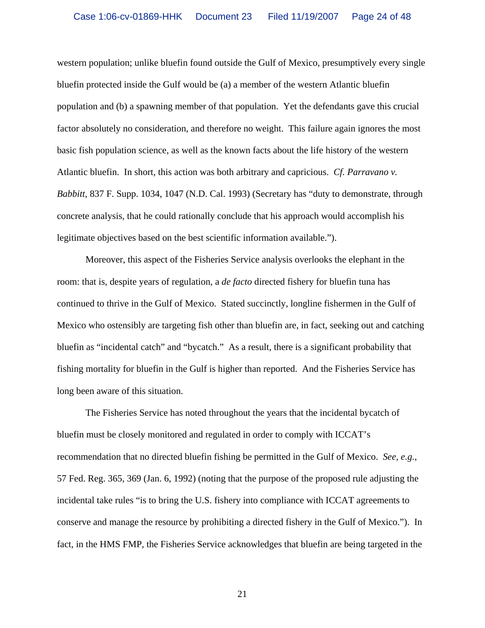western population; unlike bluefin found outside the Gulf of Mexico, presumptively every single bluefin protected inside the Gulf would be (a) a member of the western Atlantic bluefin population and (b) a spawning member of that population. Yet the defendants gave this crucial factor absolutely no consideration, and therefore no weight. This failure again ignores the most basic fish population science, as well as the known facts about the life history of the western Atlantic bluefin. In short, this action was both arbitrary and capricious. *Cf. Parravano v. Babbitt*, 837 F. Supp. 1034, 1047 (N.D. Cal. 1993) (Secretary has "duty to demonstrate, through concrete analysis, that he could rationally conclude that his approach would accomplish his legitimate objectives based on the best scientific information available.").

 Moreover, this aspect of the Fisheries Service analysis overlooks the elephant in the room: that is, despite years of regulation, a *de facto* directed fishery for bluefin tuna has continued to thrive in the Gulf of Mexico. Stated succinctly, longline fishermen in the Gulf of Mexico who ostensibly are targeting fish other than bluefin are, in fact, seeking out and catching bluefin as "incidental catch" and "bycatch." As a result, there is a significant probability that fishing mortality for bluefin in the Gulf is higher than reported. And the Fisheries Service has long been aware of this situation.

 The Fisheries Service has noted throughout the years that the incidental bycatch of bluefin must be closely monitored and regulated in order to comply with ICCAT's recommendation that no directed bluefin fishing be permitted in the Gulf of Mexico. *See, e.g.*, 57 Fed. Reg. 365, 369 (Jan. 6, 1992) (noting that the purpose of the proposed rule adjusting the incidental take rules "is to bring the U.S. fishery into compliance with ICCAT agreements to conserve and manage the resource by prohibiting a directed fishery in the Gulf of Mexico."). In fact, in the HMS FMP, the Fisheries Service acknowledges that bluefin are being targeted in the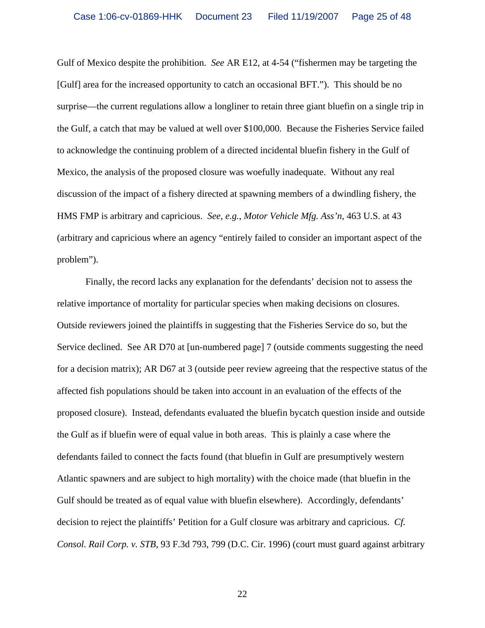Gulf of Mexico despite the prohibition. *See* AR E12, at 4-54 ("fishermen may be targeting the [Gulf] area for the increased opportunity to catch an occasional BFT."). This should be no surprise—the current regulations allow a longliner to retain three giant bluefin on a single trip in the Gulf, a catch that may be valued at well over \$100,000. Because the Fisheries Service failed to acknowledge the continuing problem of a directed incidental bluefin fishery in the Gulf of Mexico, the analysis of the proposed closure was woefully inadequate. Without any real discussion of the impact of a fishery directed at spawning members of a dwindling fishery, the HMS FMP is arbitrary and capricious. *See, e.g., Motor Vehicle Mfg. Ass'n*, 463 U.S. at 43 (arbitrary and capricious where an agency "entirely failed to consider an important aspect of the problem").

 Finally, the record lacks any explanation for the defendants' decision not to assess the relative importance of mortality for particular species when making decisions on closures. Outside reviewers joined the plaintiffs in suggesting that the Fisheries Service do so, but the Service declined. See AR D70 at [un-numbered page] 7 (outside comments suggesting the need for a decision matrix); AR D67 at 3 (outside peer review agreeing that the respective status of the affected fish populations should be taken into account in an evaluation of the effects of the proposed closure). Instead, defendants evaluated the bluefin bycatch question inside and outside the Gulf as if bluefin were of equal value in both areas. This is plainly a case where the defendants failed to connect the facts found (that bluefin in Gulf are presumptively western Atlantic spawners and are subject to high mortality) with the choice made (that bluefin in the Gulf should be treated as of equal value with bluefin elsewhere). Accordingly, defendants' decision to reject the plaintiffs' Petition for a Gulf closure was arbitrary and capricious. *Cf. Consol. Rail Corp. v. STB*, 93 F.3d 793, 799 (D.C. Cir. 1996) (court must guard against arbitrary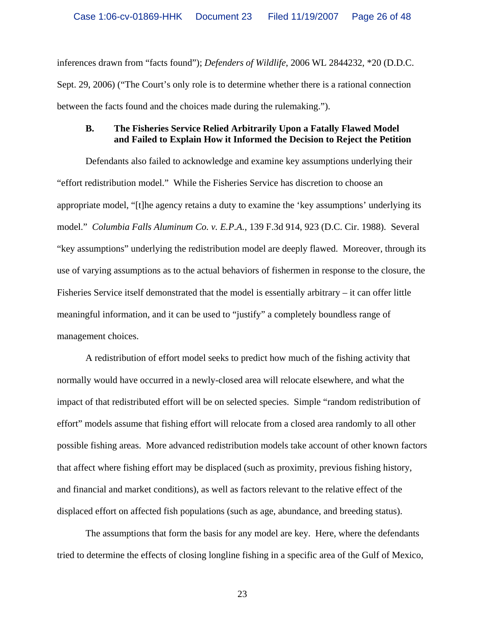inferences drawn from "facts found"); *Defenders of Wildlife*, 2006 WL 2844232, \*20 (D.D.C. Sept. 29, 2006) ("The Court's only role is to determine whether there is a rational connection between the facts found and the choices made during the rulemaking.").

### **B. The Fisheries Service Relied Arbitrarily Upon a Fatally Flawed Model and Failed to Explain How it Informed the Decision to Reject the Petition**

Defendants also failed to acknowledge and examine key assumptions underlying their "effort redistribution model." While the Fisheries Service has discretion to choose an appropriate model, "[t]he agency retains a duty to examine the 'key assumptions' underlying its model." *Columbia Falls Aluminum Co. v. E.P.A.*, 139 F.3d 914, 923 (D.C. Cir. 1988). Several "key assumptions" underlying the redistribution model are deeply flawed. Moreover, through its use of varying assumptions as to the actual behaviors of fishermen in response to the closure, the Fisheries Service itself demonstrated that the model is essentially arbitrary – it can offer little meaningful information, and it can be used to "justify" a completely boundless range of management choices.

 A redistribution of effort model seeks to predict how much of the fishing activity that normally would have occurred in a newly-closed area will relocate elsewhere, and what the impact of that redistributed effort will be on selected species. Simple "random redistribution of effort" models assume that fishing effort will relocate from a closed area randomly to all other possible fishing areas. More advanced redistribution models take account of other known factors that affect where fishing effort may be displaced (such as proximity, previous fishing history, and financial and market conditions), as well as factors relevant to the relative effect of the displaced effort on affected fish populations (such as age, abundance, and breeding status).

 The assumptions that form the basis for any model are key. Here, where the defendants tried to determine the effects of closing longline fishing in a specific area of the Gulf of Mexico,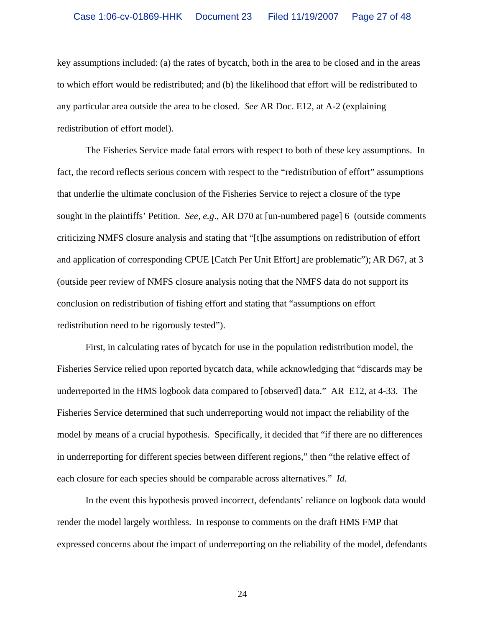key assumptions included: (a) the rates of bycatch, both in the area to be closed and in the areas to which effort would be redistributed; and (b) the likelihood that effort will be redistributed to any particular area outside the area to be closed. *See* AR Doc. E12, at A-2 (explaining redistribution of effort model).

The Fisheries Service made fatal errors with respect to both of these key assumptions. In fact, the record reflects serious concern with respect to the "redistribution of effort" assumptions that underlie the ultimate conclusion of the Fisheries Service to reject a closure of the type sought in the plaintiffs' Petition. *See, e.g*., AR D70 at [un-numbered page] 6 (outside comments criticizing NMFS closure analysis and stating that "[t]he assumptions on redistribution of effort and application of corresponding CPUE [Catch Per Unit Effort] are problematic"); AR D67, at 3 (outside peer review of NMFS closure analysis noting that the NMFS data do not support its conclusion on redistribution of fishing effort and stating that "assumptions on effort redistribution need to be rigorously tested").

First, in calculating rates of bycatch for use in the population redistribution model, the Fisheries Service relied upon reported bycatch data, while acknowledging that "discards may be underreported in the HMS logbook data compared to [observed] data." AR E12, at 4-33. The Fisheries Service determined that such underreporting would not impact the reliability of the model by means of a crucial hypothesis. Specifically, it decided that "if there are no differences in underreporting for different species between different regions," then "the relative effect of each closure for each species should be comparable across alternatives." *Id.*

 In the event this hypothesis proved incorrect, defendants' reliance on logbook data would render the model largely worthless. In response to comments on the draft HMS FMP that expressed concerns about the impact of underreporting on the reliability of the model, defendants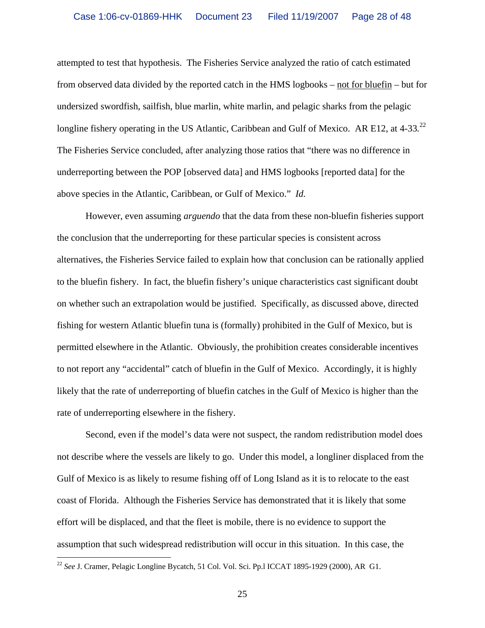attempted to test that hypothesis. The Fisheries Service analyzed the ratio of catch estimated from observed data divided by the reported catch in the HMS logbooks – not for bluefin – but for undersized swordfish, sailfish, blue marlin, white marlin, and pelagic sharks from the pelagic longline fishery operating in the US Atlantic, Caribbean and Gulf of Mexico. AR E12, at 4-33.<sup>22</sup> The Fisheries Service concluded, after analyzing those ratios that "there was no difference in underreporting between the POP [observed data] and HMS logbooks [reported data] for the above species in the Atlantic, Caribbean, or Gulf of Mexico." *Id.*

 However, even assuming *arguendo* that the data from these non-bluefin fisheries support the conclusion that the underreporting for these particular species is consistent across alternatives, the Fisheries Service failed to explain how that conclusion can be rationally applied to the bluefin fishery. In fact, the bluefin fishery's unique characteristics cast significant doubt on whether such an extrapolation would be justified. Specifically, as discussed above, directed fishing for western Atlantic bluefin tuna is (formally) prohibited in the Gulf of Mexico, but is permitted elsewhere in the Atlantic. Obviously, the prohibition creates considerable incentives to not report any "accidental" catch of bluefin in the Gulf of Mexico. Accordingly, it is highly likely that the rate of underreporting of bluefin catches in the Gulf of Mexico is higher than the rate of underreporting elsewhere in the fishery.

Second, even if the model's data were not suspect, the random redistribution model does not describe where the vessels are likely to go. Under this model, a longliner displaced from the Gulf of Mexico is as likely to resume fishing off of Long Island as it is to relocate to the east coast of Florida. Although the Fisheries Service has demonstrated that it is likely that some effort will be displaced, and that the fleet is mobile, there is no evidence to support the assumption that such widespread redistribution will occur in this situation. In this case, the

 $\overline{a}$ 

<sup>&</sup>lt;sup>22</sup> See J. Cramer, Pelagic Longline Bycatch, 51 Col. Vol. Sci. Pp.1 ICCAT 1895-1929 (2000), AR G1.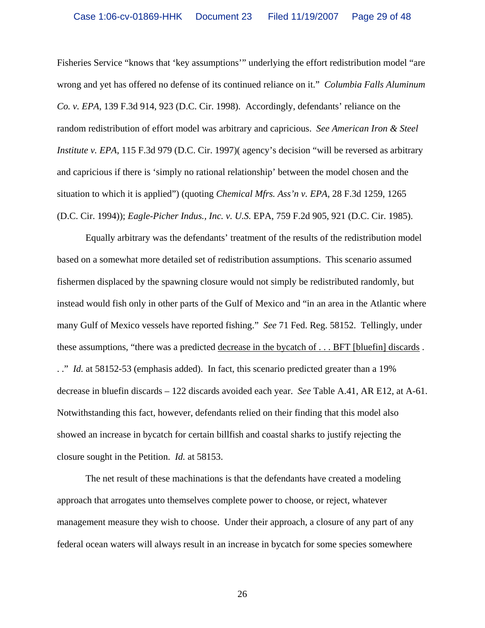Fisheries Service "knows that 'key assumptions'" underlying the effort redistribution model "are wrong and yet has offered no defense of its continued reliance on it." *Columbia Falls Aluminum Co. v. EPA*, 139 F.3d 914, 923 (D.C. Cir. 1998). Accordingly, defendants' reliance on the random redistribution of effort model was arbitrary and capricious. *See American Iron & Steel Institute v. EPA*, 115 F.3d 979 (D.C. Cir. 1997) (agency's decision "will be reversed as arbitrary and capricious if there is 'simply no rational relationship' between the model chosen and the situation to which it is applied") (quoting *Chemical Mfrs. Ass'n v. EPA*, 28 F.3d 1259, 1265 (D.C. Cir. 1994)); *Eagle-Picher Indus., Inc. v. U.S.* EPA, 759 F.2d 905, 921 (D.C. Cir. 1985).

Equally arbitrary was the defendants' treatment of the results of the redistribution model based on a somewhat more detailed set of redistribution assumptions. This scenario assumed fishermen displaced by the spawning closure would not simply be redistributed randomly, but instead would fish only in other parts of the Gulf of Mexico and "in an area in the Atlantic where many Gulf of Mexico vessels have reported fishing." *See* 71 Fed. Reg. 58152. Tellingly, under these assumptions, "there was a predicted decrease in the bycatch of . . . BFT [bluefin] discards . . ." *Id.* at 58152-53 (emphasis added). In fact, this scenario predicted greater than a 19% decrease in bluefin discards – 122 discards avoided each year. *See* Table A.41, AR E12, at A-61. Notwithstanding this fact, however, defendants relied on their finding that this model also showed an increase in bycatch for certain billfish and coastal sharks to justify rejecting the closure sought in the Petition. *Id.* at 58153.

The net result of these machinations is that the defendants have created a modeling approach that arrogates unto themselves complete power to choose, or reject, whatever management measure they wish to choose. Under their approach, a closure of any part of any federal ocean waters will always result in an increase in bycatch for some species somewhere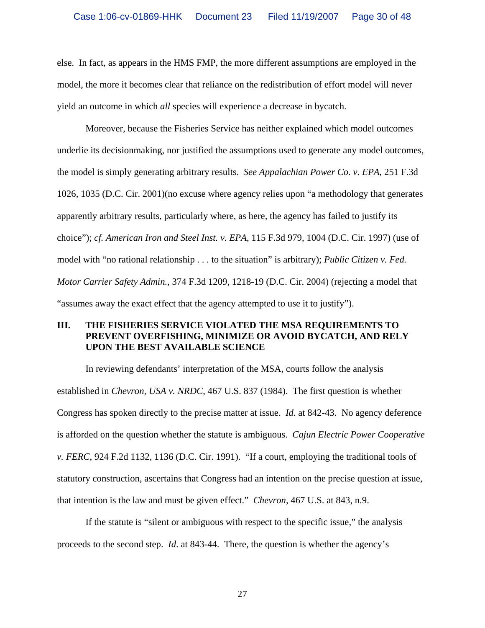else. In fact, as appears in the HMS FMP, the more different assumptions are employed in the model, the more it becomes clear that reliance on the redistribution of effort model will never yield an outcome in which *all* species will experience a decrease in bycatch.

Moreover, because the Fisheries Service has neither explained which model outcomes underlie its decisionmaking, nor justified the assumptions used to generate any model outcomes, the model is simply generating arbitrary results. *See Appalachian Power Co. v. EPA*, 251 F.3d 1026, 1035 (D.C. Cir. 2001)(no excuse where agency relies upon "a methodology that generates apparently arbitrary results, particularly where, as here, the agency has failed to justify its choice"); *cf. American Iron and Steel Inst. v. EPA*, 115 F.3d 979, 1004 (D.C. Cir. 1997) (use of model with "no rational relationship . . . to the situation" is arbitrary); *Public Citizen v. Fed. Motor Carrier Safety Admin.*, 374 F.3d 1209, 1218-19 (D.C. Cir. 2004) (rejecting a model that "assumes away the exact effect that the agency attempted to use it to justify").

# **III. THE FISHERIES SERVICE VIOLATED THE MSA REQUIREMENTS TO PREVENT OVERFISHING, MINIMIZE OR AVOID BYCATCH, AND RELY UPON THE BEST AVAILABLE SCIENCE**

In reviewing defendants' interpretation of the MSA, courts follow the analysis established in *Chevron, USA v. NRDC*, 467 U.S. 837 (1984). The first question is whether Congress has spoken directly to the precise matter at issue. *Id*. at 842-43. No agency deference is afforded on the question whether the statute is ambiguous. *Cajun Electric Power Cooperative v. FERC*, 924 F.2d 1132, 1136 (D.C. Cir. 1991). "If a court, employing the traditional tools of statutory construction, ascertains that Congress had an intention on the precise question at issue, that intention is the law and must be given effect." *Chevron*, 467 U.S. at 843, n.9.

If the statute is "silent or ambiguous with respect to the specific issue," the analysis proceeds to the second step. *Id*. at 843-44. There, the question is whether the agency's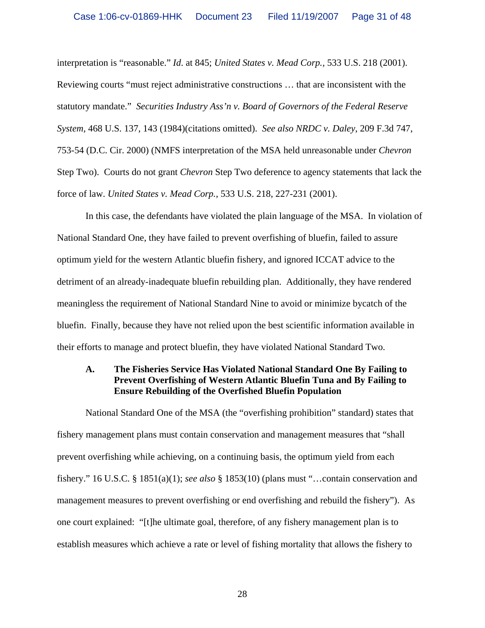interpretation is "reasonable." *Id*. at 845; *United States v. Mead Corp.*, 533 U.S. 218 (2001). Reviewing courts "must reject administrative constructions … that are inconsistent with the statutory mandate." *Securities Industry Ass'n v. Board of Governors of the Federal Reserve System*, 468 U.S. 137, 143 (1984)(citations omitted). *See also NRDC v. Daley*, 209 F.3d 747, 753-54 (D.C. Cir. 2000) (NMFS interpretation of the MSA held unreasonable under *Chevron* Step Two). Courts do not grant *Chevron* Step Two deference to agency statements that lack the force of law. *United States v. Mead Corp.*, 533 U.S. 218, 227-231 (2001).

In this case, the defendants have violated the plain language of the MSA. In violation of National Standard One, they have failed to prevent overfishing of bluefin, failed to assure optimum yield for the western Atlantic bluefin fishery, and ignored ICCAT advice to the detriment of an already-inadequate bluefin rebuilding plan. Additionally, they have rendered meaningless the requirement of National Standard Nine to avoid or minimize bycatch of the bluefin. Finally, because they have not relied upon the best scientific information available in their efforts to manage and protect bluefin, they have violated National Standard Two.

# **A. The Fisheries Service Has Violated National Standard One By Failing to Prevent Overfishing of Western Atlantic Bluefin Tuna and By Failing to Ensure Rebuilding of the Overfished Bluefin Population**

National Standard One of the MSA (the "overfishing prohibition" standard) states that fishery management plans must contain conservation and management measures that "shall prevent overfishing while achieving, on a continuing basis, the optimum yield from each fishery." 16 U.S.C. § 1851(a)(1); *see also* § 1853(10) (plans must "…contain conservation and management measures to prevent overfishing or end overfishing and rebuild the fishery"). As one court explained: "[t]he ultimate goal, therefore, of any fishery management plan is to establish measures which achieve a rate or level of fishing mortality that allows the fishery to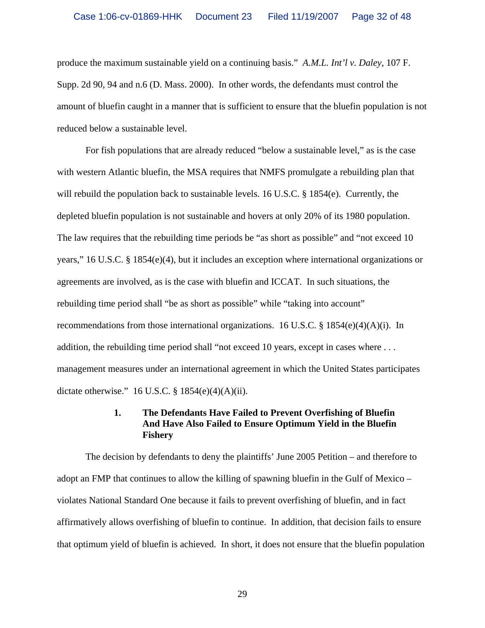produce the maximum sustainable yield on a continuing basis." *A.M.L. Int'l v. Daley*, 107 F. Supp. 2d 90, 94 and n.6 (D. Mass. 2000). In other words, the defendants must control the amount of bluefin caught in a manner that is sufficient to ensure that the bluefin population is not reduced below a sustainable level.

 For fish populations that are already reduced "below a sustainable level," as is the case with western Atlantic bluefin, the MSA requires that NMFS promulgate a rebuilding plan that will rebuild the population back to sustainable levels. 16 U.S.C. § 1854(e). Currently, the depleted bluefin population is not sustainable and hovers at only 20% of its 1980 population. The law requires that the rebuilding time periods be "as short as possible" and "not exceed 10 years," 16 U.S.C. § 1854(e)(4), but it includes an exception where international organizations or agreements are involved, as is the case with bluefin and ICCAT. In such situations, the rebuilding time period shall "be as short as possible" while "taking into account" recommendations from those international organizations. 16 U.S.C. § 1854(e)(4)(A)(i). In addition, the rebuilding time period shall "not exceed 10 years, except in cases where . . . management measures under an international agreement in which the United States participates dictate otherwise." 16 U.S.C.  $\S 1854(e)(4)(A)(ii)$ .

### **1. The Defendants Have Failed to Prevent Overfishing of Bluefin And Have Also Failed to Ensure Optimum Yield in the Bluefin Fishery**

 The decision by defendants to deny the plaintiffs' June 2005 Petition – and therefore to adopt an FMP that continues to allow the killing of spawning bluefin in the Gulf of Mexico – violates National Standard One because it fails to prevent overfishing of bluefin, and in fact affirmatively allows overfishing of bluefin to continue. In addition, that decision fails to ensure that optimum yield of bluefin is achieved. In short, it does not ensure that the bluefin population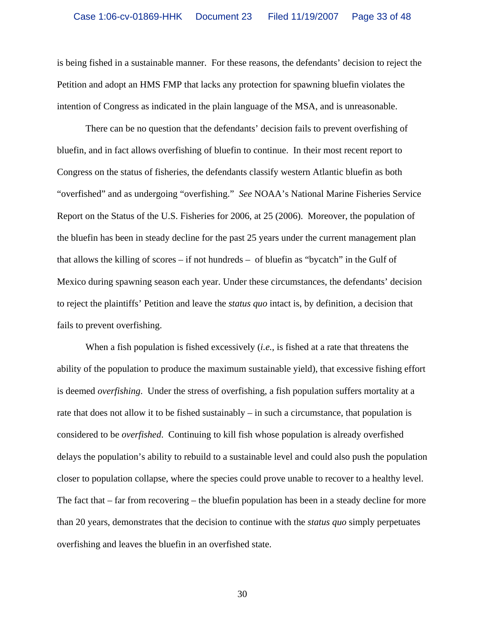is being fished in a sustainable manner. For these reasons, the defendants' decision to reject the Petition and adopt an HMS FMP that lacks any protection for spawning bluefin violates the intention of Congress as indicated in the plain language of the MSA, and is unreasonable.

There can be no question that the defendants' decision fails to prevent overfishing of bluefin, and in fact allows overfishing of bluefin to continue. In their most recent report to Congress on the status of fisheries, the defendants classify western Atlantic bluefin as both "overfished" and as undergoing "overfishing." *See* NOAA's National Marine Fisheries Service Report on the Status of the U.S. Fisheries for 2006, at 25 (2006). Moreover, the population of the bluefin has been in steady decline for the past 25 years under the current management plan that allows the killing of scores – if not hundreds – of bluefin as "bycatch" in the Gulf of Mexico during spawning season each year. Under these circumstances, the defendants' decision to reject the plaintiffs' Petition and leave the *status quo* intact is, by definition, a decision that fails to prevent overfishing.

When a fish population is fished excessively (*i.e.*, is fished at a rate that threatens the ability of the population to produce the maximum sustainable yield), that excessive fishing effort is deemed *overfishing*. Under the stress of overfishing, a fish population suffers mortality at a rate that does not allow it to be fished sustainably – in such a circumstance, that population is considered to be *overfished*. Continuing to kill fish whose population is already overfished delays the population's ability to rebuild to a sustainable level and could also push the population closer to population collapse, where the species could prove unable to recover to a healthy level. The fact that – far from recovering – the bluefin population has been in a steady decline for more than 20 years, demonstrates that the decision to continue with the *status quo* simply perpetuates overfishing and leaves the bluefin in an overfished state.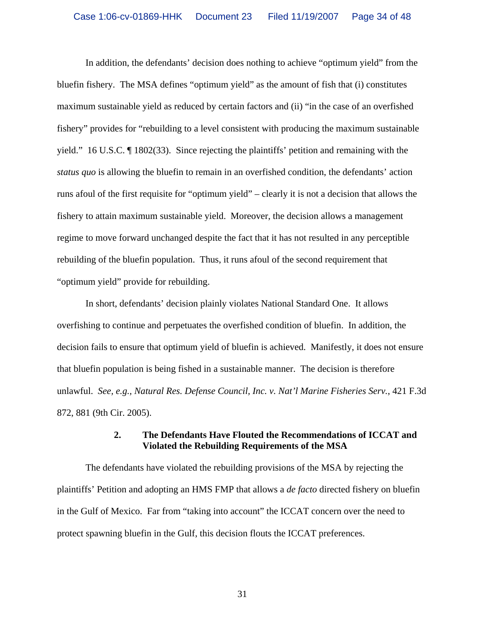In addition, the defendants' decision does nothing to achieve "optimum yield" from the bluefin fishery. The MSA defines "optimum yield" as the amount of fish that (i) constitutes maximum sustainable yield as reduced by certain factors and (ii) "in the case of an overfished fishery" provides for "rebuilding to a level consistent with producing the maximum sustainable yield." 16 U.S.C. ¶ 1802(33). Since rejecting the plaintiffs' petition and remaining with the *status quo* is allowing the bluefin to remain in an overfished condition, the defendants' action runs afoul of the first requisite for "optimum yield" – clearly it is not a decision that allows the fishery to attain maximum sustainable yield. Moreover, the decision allows a management regime to move forward unchanged despite the fact that it has not resulted in any perceptible rebuilding of the bluefin population. Thus, it runs afoul of the second requirement that "optimum yield" provide for rebuilding.

In short, defendants' decision plainly violates National Standard One. It allows overfishing to continue and perpetuates the overfished condition of bluefin. In addition, the decision fails to ensure that optimum yield of bluefin is achieved. Manifestly, it does not ensure that bluefin population is being fished in a sustainable manner. The decision is therefore unlawful. *See, e.g., Natural Res. Defense Council, Inc. v. Nat'l Marine Fisheries Serv.*, 421 F.3d 872, 881 (9th Cir. 2005).

### **2. The Defendants Have Flouted the Recommendations of ICCAT and Violated the Rebuilding Requirements of the MSA**

The defendants have violated the rebuilding provisions of the MSA by rejecting the plaintiffs' Petition and adopting an HMS FMP that allows a *de facto* directed fishery on bluefin in the Gulf of Mexico. Far from "taking into account" the ICCAT concern over the need to protect spawning bluefin in the Gulf, this decision flouts the ICCAT preferences.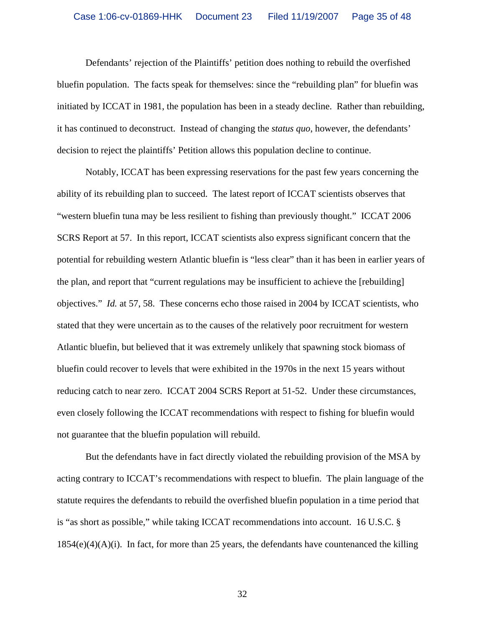Defendants' rejection of the Plaintiffs' petition does nothing to rebuild the overfished bluefin population. The facts speak for themselves: since the "rebuilding plan" for bluefin was initiated by ICCAT in 1981, the population has been in a steady decline. Rather than rebuilding, it has continued to deconstruct. Instead of changing the *status quo*, however, the defendants' decision to reject the plaintiffs' Petition allows this population decline to continue.

Notably, ICCAT has been expressing reservations for the past few years concerning the ability of its rebuilding plan to succeed. The latest report of ICCAT scientists observes that "western bluefin tuna may be less resilient to fishing than previously thought." ICCAT 2006 SCRS Report at 57. In this report, ICCAT scientists also express significant concern that the potential for rebuilding western Atlantic bluefin is "less clear" than it has been in earlier years of the plan, and report that "current regulations may be insufficient to achieve the [rebuilding] objectives." *Id.* at 57, 58. These concerns echo those raised in 2004 by ICCAT scientists, who stated that they were uncertain as to the causes of the relatively poor recruitment for western Atlantic bluefin, but believed that it was extremely unlikely that spawning stock biomass of bluefin could recover to levels that were exhibited in the 1970s in the next 15 years without reducing catch to near zero. ICCAT 2004 SCRS Report at 51-52. Under these circumstances, even closely following the ICCAT recommendations with respect to fishing for bluefin would not guarantee that the bluefin population will rebuild.

But the defendants have in fact directly violated the rebuilding provision of the MSA by acting contrary to ICCAT's recommendations with respect to bluefin. The plain language of the statute requires the defendants to rebuild the overfished bluefin population in a time period that is "as short as possible," while taking ICCAT recommendations into account. 16 U.S.C. §  $1854(e)(4)(A)(i)$ . In fact, for more than 25 years, the defendants have countenanced the killing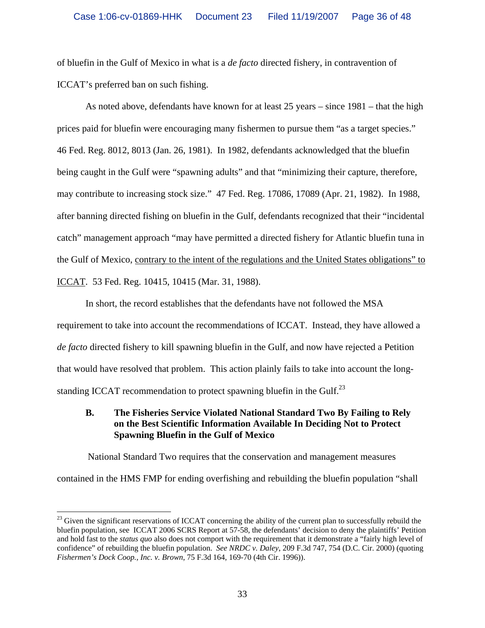of bluefin in the Gulf of Mexico in what is a *de facto* directed fishery, in contravention of ICCAT's preferred ban on such fishing.

As noted above, defendants have known for at least 25 years – since 1981 – that the high prices paid for bluefin were encouraging many fishermen to pursue them "as a target species." 46 Fed. Reg. 8012, 8013 (Jan. 26, 1981). In 1982, defendants acknowledged that the bluefin being caught in the Gulf were "spawning adults" and that "minimizing their capture, therefore, may contribute to increasing stock size." 47 Fed. Reg. 17086, 17089 (Apr. 21, 1982). In 1988, after banning directed fishing on bluefin in the Gulf, defendants recognized that their "incidental catch" management approach "may have permitted a directed fishery for Atlantic bluefin tuna in the Gulf of Mexico, contrary to the intent of the regulations and the United States obligations" to ICCAT. 53 Fed. Reg. 10415, 10415 (Mar. 31, 1988).

In short, the record establishes that the defendants have not followed the MSA requirement to take into account the recommendations of ICCAT. Instead, they have allowed a *de facto* directed fishery to kill spawning bluefin in the Gulf, and now have rejected a Petition that would have resolved that problem. This action plainly fails to take into account the longstanding ICCAT recommendation to protect spawning bluefin in the Gulf. $^{23}$ 

# **B. The Fisheries Service Violated National Standard Two By Failing to Rely on the Best Scientific Information Available In Deciding Not to Protect Spawning Bluefin in the Gulf of Mexico**

 National Standard Two requires that the conservation and management measures contained in the HMS FMP for ending overfishing and rebuilding the bluefin population "shall

 $\overline{a}$ 

 $^{23}$  Given the significant reservations of ICCAT concerning the ability of the current plan to successfully rebuild the bluefin population, see ICCAT 2006 SCRS Report at 57-58, the defendants' decision to deny the plaintiffs' Petition and hold fast to the *status quo* also does not comport with the requirement that it demonstrate a "fairly high level of confidence" of rebuilding the bluefin population. *See NRDC v. Daley*, 209 F.3d 747, 754 (D.C. Cir. 2000) (quoting *Fishermen's Dock Coop., Inc. v. Brown*, 75 F.3d 164, 169-70 (4th Cir. 1996)).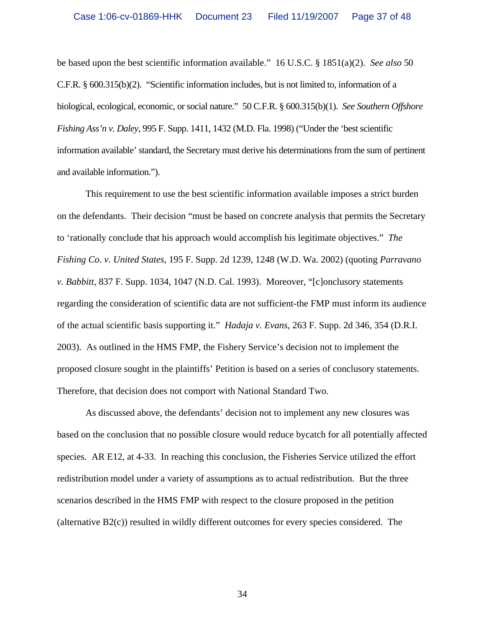be based upon the best scientific information available." 16 U.S.C. § 1851(a)(2). *See also* 50 C.F.R. § 600.315(b)(2). "Scientific information includes, but is not limited to, information of a biological, ecological, economic, or social nature." 50 C.F.R. § 600.315(b)(1). *See Southern Offshore Fishing Ass'n v. Daley*, 995 F. Supp. 1411, 1432 (M.D. Fla. 1998) ("Under the 'best scientific information available' standard, the Secretary must derive his determinations from the sum of pertinent and available information.").

 This requirement to use the best scientific information available imposes a strict burden on the defendants. Their decision "must be based on concrete analysis that permits the Secretary to 'rationally conclude that his approach would accomplish his legitimate objectives." *The Fishing Co. v. United States*, 195 F. Supp. 2d 1239, 1248 (W.D. Wa. 2002) (quoting *Parravano v. Babbitt*, 837 F. Supp. 1034, 1047 (N.D. Cal. 1993). Moreover, "[c]onclusory statements regarding the consideration of scientific data are not sufficient-the FMP must inform its audience of the actual scientific basis supporting it." *Hadaja v. Evans*, 263 F. Supp. 2d 346, 354 (D.R.I. 2003). As outlined in the HMS FMP, the Fishery Service's decision not to implement the proposed closure sought in the plaintiffs' Petition is based on a series of conclusory statements. Therefore, that decision does not comport with National Standard Two.

 As discussed above, the defendants' decision not to implement any new closures was based on the conclusion that no possible closure would reduce bycatch for all potentially affected species. AR E12, at 4-33. In reaching this conclusion, the Fisheries Service utilized the effort redistribution model under a variety of assumptions as to actual redistribution. But the three scenarios described in the HMS FMP with respect to the closure proposed in the petition (alternative B2(c)) resulted in wildly different outcomes for every species considered. The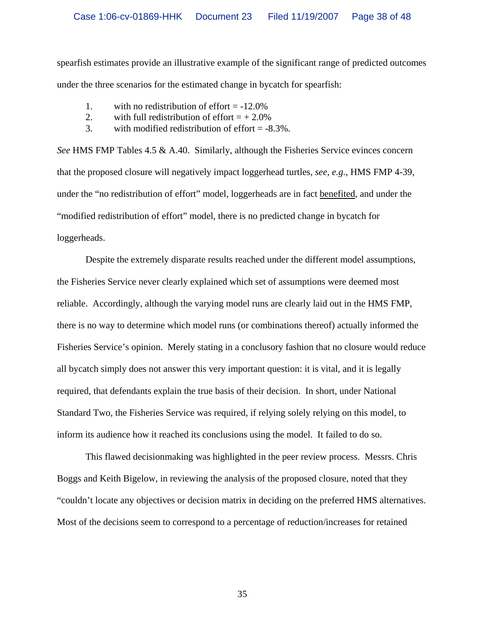spearfish estimates provide an illustrative example of the significant range of predicted outcomes under the three scenarios for the estimated change in bycatch for spearfish:

- 1. with no redistribution of effort  $= -12.0\%$
- 2. with full redistribution of effort  $= +2.0\%$
- 3. with modified redistribution of effort = -8.3%.

*See* HMS FMP Tables 4.5 & A.40. Similarly, although the Fisheries Service evinces concern that the proposed closure will negatively impact loggerhead turtles, *see, e.g.*, HMS FMP 4-39, under the "no redistribution of effort" model, loggerheads are in fact benefited, and under the "modified redistribution of effort" model, there is no predicted change in bycatch for loggerheads.

 Despite the extremely disparate results reached under the different model assumptions, the Fisheries Service never clearly explained which set of assumptions were deemed most reliable. Accordingly, although the varying model runs are clearly laid out in the HMS FMP, there is no way to determine which model runs (or combinations thereof) actually informed the Fisheries Service's opinion. Merely stating in a conclusory fashion that no closure would reduce all bycatch simply does not answer this very important question: it is vital, and it is legally required, that defendants explain the true basis of their decision. In short, under National Standard Two, the Fisheries Service was required, if relying solely relying on this model, to inform its audience how it reached its conclusions using the model. It failed to do so.

 This flawed decisionmaking was highlighted in the peer review process. Messrs. Chris Boggs and Keith Bigelow, in reviewing the analysis of the proposed closure, noted that they "couldn't locate any objectives or decision matrix in deciding on the preferred HMS alternatives. Most of the decisions seem to correspond to a percentage of reduction/increases for retained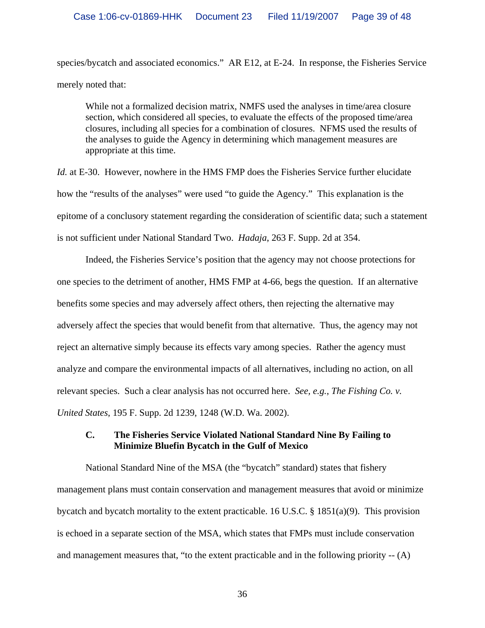species/bycatch and associated economics." AR E12, at E-24. In response, the Fisheries Service merely noted that:

While not a formalized decision matrix, NMFS used the analyses in time/area closure section, which considered all species, to evaluate the effects of the proposed time/area closures, including all species for a combination of closures. NFMS used the results of the analyses to guide the Agency in determining which management measures are appropriate at this time.

*Id.* at E-30. However, nowhere in the HMS FMP does the Fisheries Service further elucidate how the "results of the analyses" were used "to guide the Agency." This explanation is the epitome of a conclusory statement regarding the consideration of scientific data; such a statement is not sufficient under National Standard Two. *Hadaja*, 263 F. Supp. 2d at 354.

Indeed, the Fisheries Service's position that the agency may not choose protections for one species to the detriment of another, HMS FMP at 4-66, begs the question. If an alternative benefits some species and may adversely affect others, then rejecting the alternative may adversely affect the species that would benefit from that alternative. Thus, the agency may not reject an alternative simply because its effects vary among species. Rather the agency must analyze and compare the environmental impacts of all alternatives, including no action, on all relevant species. Such a clear analysis has not occurred here. *See, e.g.*, *The Fishing Co. v. United States*, 195 F. Supp. 2d 1239, 1248 (W.D. Wa. 2002).

# **C. The Fisheries Service Violated National Standard Nine By Failing to Minimize Bluefin Bycatch in the Gulf of Mexico**

 National Standard Nine of the MSA (the "bycatch" standard) states that fishery management plans must contain conservation and management measures that avoid or minimize bycatch and bycatch mortality to the extent practicable. 16 U.S.C. § 1851(a)(9). This provision is echoed in a separate section of the MSA, which states that FMPs must include conservation and management measures that, "to the extent practicable and in the following priority -- (A)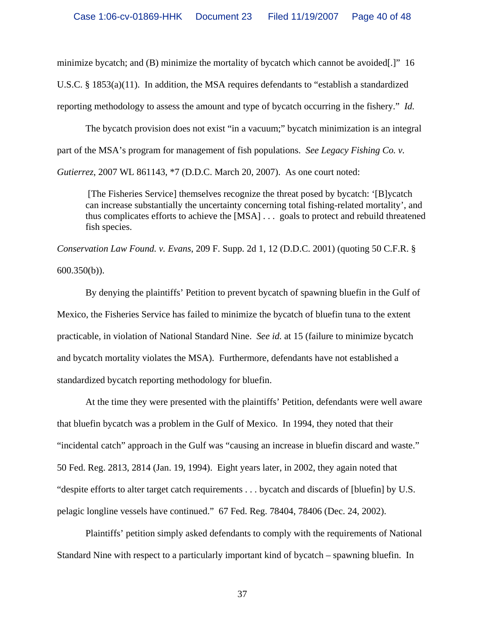minimize bycatch; and (B) minimize the mortality of bycatch which cannot be avoided[.]" 16 U.S.C. § 1853(a)(11). In addition, the MSA requires defendants to "establish a standardized reporting methodology to assess the amount and type of bycatch occurring in the fishery." *Id.* 

 The bycatch provision does not exist "in a vacuum;" bycatch minimization is an integral part of the MSA's program for management of fish populations. *See Legacy Fishing Co. v.* 

*Gutierrez*, 2007 WL 861143, \*7 (D.D.C. March 20, 2007). As one court noted:

 [The Fisheries Service] themselves recognize the threat posed by bycatch: '[B]ycatch can increase substantially the uncertainty concerning total fishing-related mortality', and thus complicates efforts to achieve the [MSA] . . . goals to protect and rebuild threatened fish species.

*Conservation Law Found. v. Evans*, 209 F. Supp. 2d 1, 12 (D.D.C. 2001) (quoting 50 C.F.R. § 600.350(b)).

 By denying the plaintiffs' Petition to prevent bycatch of spawning bluefin in the Gulf of Mexico, the Fisheries Service has failed to minimize the bycatch of bluefin tuna to the extent practicable, in violation of National Standard Nine. *See id.* at 15 (failure to minimize bycatch and bycatch mortality violates the MSA). Furthermore, defendants have not established a standardized bycatch reporting methodology for bluefin.

 At the time they were presented with the plaintiffs' Petition, defendants were well aware that bluefin bycatch was a problem in the Gulf of Mexico. In 1994, they noted that their "incidental catch" approach in the Gulf was "causing an increase in bluefin discard and waste." 50 Fed. Reg. 2813, 2814 (Jan. 19, 1994). Eight years later, in 2002, they again noted that "despite efforts to alter target catch requirements . . . bycatch and discards of [bluefin] by U.S. pelagic longline vessels have continued." 67 Fed. Reg. 78404, 78406 (Dec. 24, 2002).

 Plaintiffs' petition simply asked defendants to comply with the requirements of National Standard Nine with respect to a particularly important kind of bycatch – spawning bluefin. In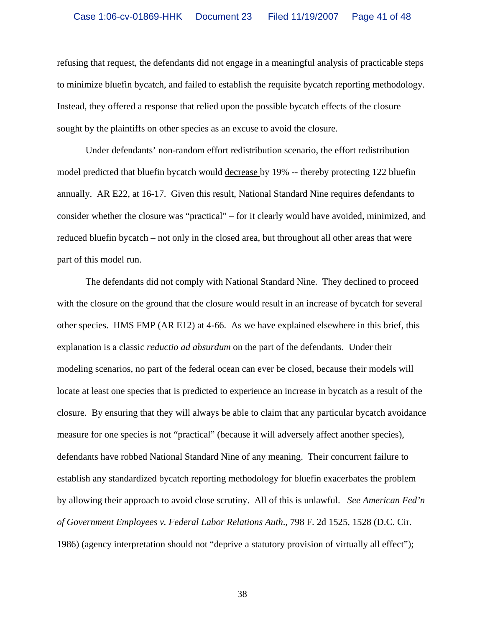refusing that request, the defendants did not engage in a meaningful analysis of practicable steps to minimize bluefin bycatch, and failed to establish the requisite bycatch reporting methodology. Instead, they offered a response that relied upon the possible bycatch effects of the closure sought by the plaintiffs on other species as an excuse to avoid the closure.

 Under defendants' non-random effort redistribution scenario, the effort redistribution model predicted that bluefin bycatch would decrease by 19% -- thereby protecting 122 bluefin annually. AR E22, at 16-17. Given this result, National Standard Nine requires defendants to consider whether the closure was "practical" – for it clearly would have avoided, minimized, and reduced bluefin bycatch – not only in the closed area, but throughout all other areas that were part of this model run.

 The defendants did not comply with National Standard Nine. They declined to proceed with the closure on the ground that the closure would result in an increase of bycatch for several other species. HMS FMP (AR E12) at 4-66. As we have explained elsewhere in this brief, this explanation is a classic *reductio ad absurdum* on the part of the defendants. Under their modeling scenarios, no part of the federal ocean can ever be closed, because their models will locate at least one species that is predicted to experience an increase in bycatch as a result of the closure. By ensuring that they will always be able to claim that any particular bycatch avoidance measure for one species is not "practical" (because it will adversely affect another species), defendants have robbed National Standard Nine of any meaning. Their concurrent failure to establish any standardized bycatch reporting methodology for bluefin exacerbates the problem by allowing their approach to avoid close scrutiny. All of this is unlawful. *See American Fed'n of Government Employees v. Federal Labor Relations Auth*., 798 F. 2d 1525, 1528 (D.C. Cir. 1986) (agency interpretation should not "deprive a statutory provision of virtually all effect");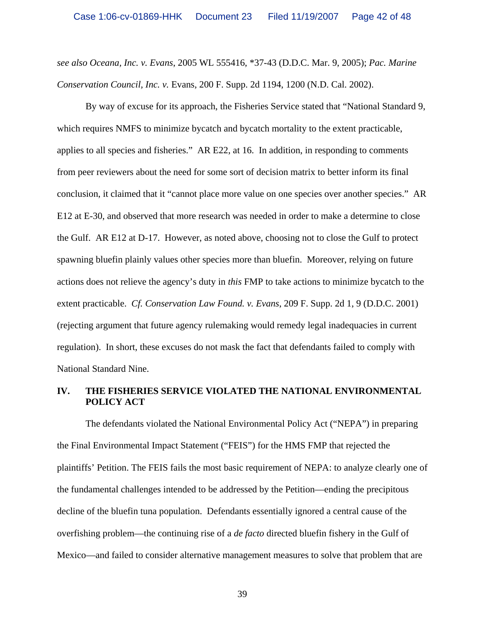*see also Oceana, Inc. v. Evans*, 2005 WL 555416, \*37-43 (D.D.C. Mar. 9, 2005); *Pac. Marine Conservation Council, Inc. v.* Evans, 200 F. Supp. 2d 1194, 1200 (N.D. Cal. 2002).

By way of excuse for its approach, the Fisheries Service stated that "National Standard 9, which requires NMFS to minimize bycatch and bycatch mortality to the extent practicable, applies to all species and fisheries." AR E22, at 16.In addition, in responding to comments from peer reviewers about the need for some sort of decision matrix to better inform its final conclusion, it claimed that it "cannot place more value on one species over another species." AR E12 at E-30, and observed that more research was needed in order to make a determine to close the Gulf. AR E12 at D-17. However, as noted above, choosing not to close the Gulf to protect spawning bluefin plainly values other species more than bluefin. Moreover, relying on future actions does not relieve the agency's duty in *this* FMP to take actions to minimize bycatch to the extent practicable. *Cf. Conservation Law Found. v. Evans*, 209 F. Supp. 2d 1, 9 (D.D.C. 2001) (rejecting argument that future agency rulemaking would remedy legal inadequacies in current regulation). In short, these excuses do not mask the fact that defendants failed to comply with National Standard Nine.

#### **IV. THE FISHERIES SERVICE VIOLATED THE NATIONAL ENVIRONMENTAL POLICY ACT**

 The defendants violated the National Environmental Policy Act ("NEPA") in preparing the Final Environmental Impact Statement ("FEIS") for the HMS FMP that rejected the plaintiffs' Petition. The FEIS fails the most basic requirement of NEPA: to analyze clearly one of the fundamental challenges intended to be addressed by the Petition—ending the precipitous decline of the bluefin tuna population. Defendants essentially ignored a central cause of the overfishing problem—the continuing rise of a *de facto* directed bluefin fishery in the Gulf of Mexico—and failed to consider alternative management measures to solve that problem that are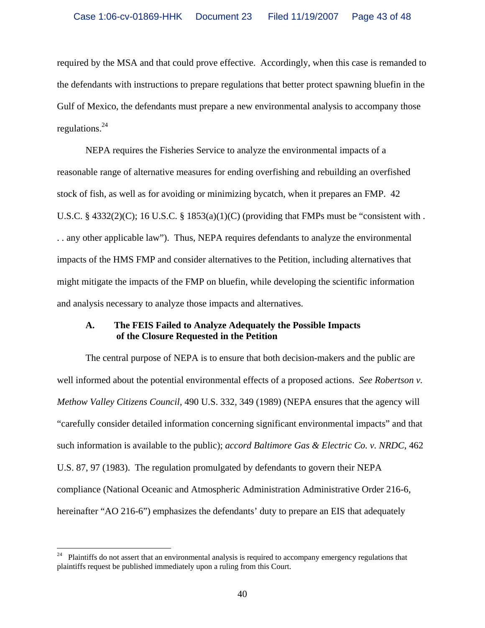required by the MSA and that could prove effective. Accordingly, when this case is remanded to the defendants with instructions to prepare regulations that better protect spawning bluefin in the Gulf of Mexico, the defendants must prepare a new environmental analysis to accompany those regulations.24

 NEPA requires the Fisheries Service to analyze the environmental impacts of a reasonable range of alternative measures for ending overfishing and rebuilding an overfished stock of fish, as well as for avoiding or minimizing bycatch, when it prepares an FMP. 42 U.S.C. § 4332(2)(C); 16 U.S.C. § 1853(a)(1)(C) (providing that FMPs must be "consistent with . . . any other applicable law"). Thus, NEPA requires defendants to analyze the environmental impacts of the HMS FMP and consider alternatives to the Petition, including alternatives that might mitigate the impacts of the FMP on bluefin, while developing the scientific information and analysis necessary to analyze those impacts and alternatives.

### **A. The FEIS Failed to Analyze Adequately the Possible Impacts of the Closure Requested in the Petition**

 The central purpose of NEPA is to ensure that both decision-makers and the public are well informed about the potential environmental effects of a proposed actions. *See Robertson v. Methow Valley Citizens Council*, 490 U.S. 332, 349 (1989) (NEPA ensures that the agency will "carefully consider detailed information concerning significant environmental impacts" and that such information is available to the public); *accord Baltimore Gas & Electric Co. v. NRDC*, 462 U.S. 87, 97 (1983). The regulation promulgated by defendants to govern their NEPA compliance (National Oceanic and Atmospheric Administration Administrative Order 216-6, hereinafter "AO 216-6") emphasizes the defendants' duty to prepare an EIS that adequately

 $24\,$ Plaintiffs do not assert that an environmental analysis is required to accompany emergency regulations that plaintiffs request be published immediately upon a ruling from this Court.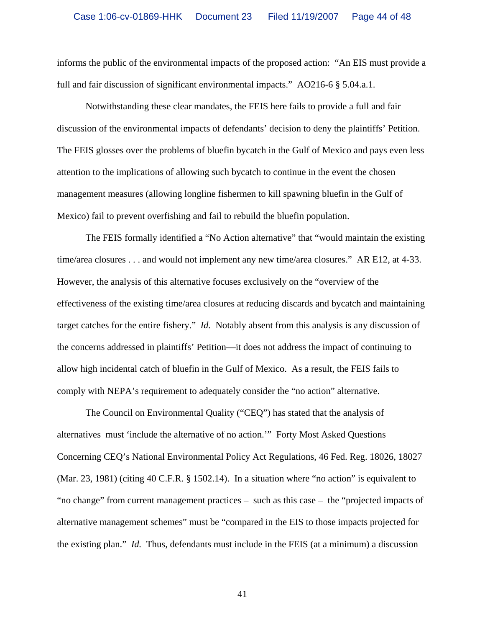informs the public of the environmental impacts of the proposed action: "An EIS must provide a full and fair discussion of significant environmental impacts." AO216-6 § 5.04.a.1.

 Notwithstanding these clear mandates, the FEIS here fails to provide a full and fair discussion of the environmental impacts of defendants' decision to deny the plaintiffs' Petition. The FEIS glosses over the problems of bluefin bycatch in the Gulf of Mexico and pays even less attention to the implications of allowing such bycatch to continue in the event the chosen management measures (allowing longline fishermen to kill spawning bluefin in the Gulf of Mexico) fail to prevent overfishing and fail to rebuild the bluefin population.

The FEIS formally identified a "No Action alternative" that "would maintain the existing time/area closures . . . and would not implement any new time/area closures." AR E12, at 4-33. However, the analysis of this alternative focuses exclusively on the "overview of the effectiveness of the existing time/area closures at reducing discards and bycatch and maintaining target catches for the entire fishery." *Id.* Notably absent from this analysis is any discussion of the concerns addressed in plaintiffs' Petition—it does not address the impact of continuing to allow high incidental catch of bluefin in the Gulf of Mexico. As a result, the FEIS fails to comply with NEPA's requirement to adequately consider the "no action" alternative.

The Council on Environmental Quality ("CEQ") has stated that the analysis of alternatives must 'include the alternative of no action.'" Forty Most Asked Questions Concerning CEQ's National Environmental Policy Act Regulations, 46 Fed. Reg. 18026, 18027 (Mar. 23, 1981) (citing 40 C.F.R. § 1502.14). In a situation where "no action" is equivalent to "no change" from current management practices – such as this case – the "projected impacts of alternative management schemes" must be "compared in the EIS to those impacts projected for the existing plan." *Id.*Thus, defendants must include in the FEIS (at a minimum) a discussion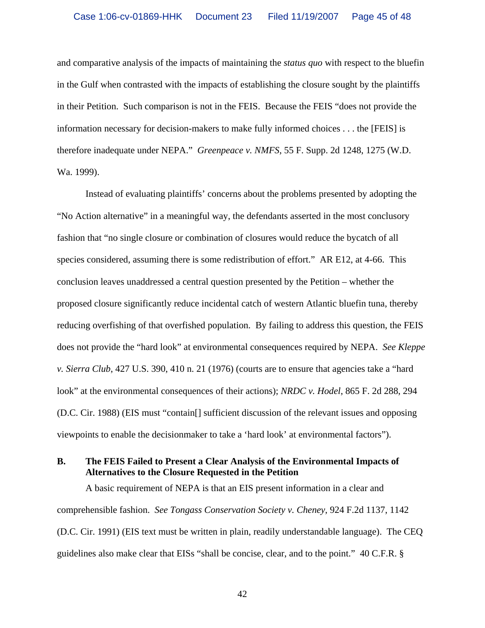and comparative analysis of the impacts of maintaining the *status quo* with respect to the bluefin in the Gulf when contrasted with the impacts of establishing the closure sought by the plaintiffs in their Petition. Such comparison is not in the FEIS. Because the FEIS "does not provide the information necessary for decision-makers to make fully informed choices . . . the [FEIS] is therefore inadequate under NEPA." *Greenpeace v. NMFS*, 55 F. Supp. 2d 1248, 1275 (W.D. Wa. 1999).

 Instead of evaluating plaintiffs' concerns about the problems presented by adopting the "No Action alternative" in a meaningful way, the defendants asserted in the most conclusory fashion that "no single closure or combination of closures would reduce the bycatch of all species considered, assuming there is some redistribution of effort." AR E12, at 4-66. This conclusion leaves unaddressed a central question presented by the Petition – whether the proposed closure significantly reduce incidental catch of western Atlantic bluefin tuna, thereby reducing overfishing of that overfished population. By failing to address this question, the FEIS does not provide the "hard look" at environmental consequences required by NEPA. *See Kleppe v. Sierra Club*, 427 U.S. 390, 410 n. 21 (1976) (courts are to ensure that agencies take a "hard look" at the environmental consequences of their actions); *NRDC v. Hodel*, 865 F. 2d 288, 294 (D.C. Cir. 1988) (EIS must "contain[] sufficient discussion of the relevant issues and opposing viewpoints to enable the decisionmaker to take a 'hard look' at environmental factors").

# **B. The FEIS Failed to Present a Clear Analysis of the Environmental Impacts of Alternatives to the Closure Requested in the Petition**

A basic requirement of NEPA is that an EIS present information in a clear and comprehensible fashion. *See Tongass Conservation Society v. Cheney*, 924 F.2d 1137, 1142 (D.C. Cir. 1991) (EIS text must be written in plain, readily understandable language). The CEQ guidelines also make clear that EISs "shall be concise, clear, and to the point." 40 C.F.R. §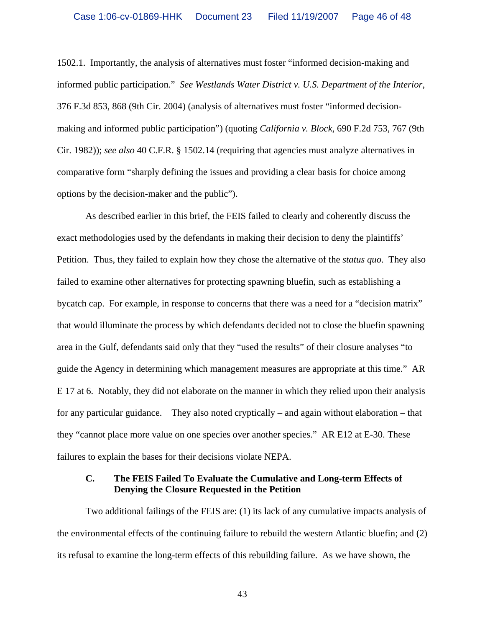1502.1. Importantly, the analysis of alternatives must foster "informed decision-making and informed public participation." *See Westlands Water District v. U.S. Department of the Interior*, 376 F.3d 853, 868 (9th Cir. 2004) (analysis of alternatives must foster "informed decisionmaking and informed public participation") (quoting *California v. Block*, 690 F.2d 753, 767 (9th Cir. 1982)); *see also* 40 C.F.R. § 1502.14 (requiring that agencies must analyze alternatives in comparative form "sharply defining the issues and providing a clear basis for choice among options by the decision-maker and the public").

As described earlier in this brief, the FEIS failed to clearly and coherently discuss the exact methodologies used by the defendants in making their decision to deny the plaintiffs' Petition. Thus, they failed to explain how they chose the alternative of the *status quo*. They also failed to examine other alternatives for protecting spawning bluefin, such as establishing a bycatch cap. For example, in response to concerns that there was a need for a "decision matrix" that would illuminate the process by which defendants decided not to close the bluefin spawning area in the Gulf, defendants said only that they "used the results" of their closure analyses "to guide the Agency in determining which management measures are appropriate at this time." AR E 17 at 6. Notably, they did not elaborate on the manner in which they relied upon their analysis for any particular guidance. They also noted cryptically – and again without elaboration – that they "cannot place more value on one species over another species." AR E12 at E-30. These failures to explain the bases for their decisions violate NEPA.

#### **C. The FEIS Failed To Evaluate the Cumulative and Long-term Effects of Denying the Closure Requested in the Petition**

 Two additional failings of the FEIS are: (1) its lack of any cumulative impacts analysis of the environmental effects of the continuing failure to rebuild the western Atlantic bluefin; and (2) its refusal to examine the long-term effects of this rebuilding failure. As we have shown, the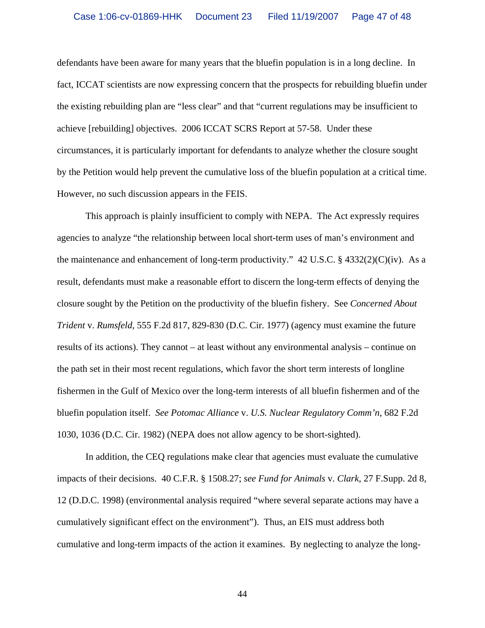defendants have been aware for many years that the bluefin population is in a long decline. In fact, ICCAT scientists are now expressing concern that the prospects for rebuilding bluefin under the existing rebuilding plan are "less clear" and that "current regulations may be insufficient to achieve [rebuilding] objectives. 2006 ICCAT SCRS Report at 57-58. Under these circumstances, it is particularly important for defendants to analyze whether the closure sought by the Petition would help prevent the cumulative loss of the bluefin population at a critical time. However, no such discussion appears in the FEIS.

 This approach is plainly insufficient to comply with NEPA. The Act expressly requires agencies to analyze "the relationship between local short-term uses of man's environment and the maintenance and enhancement of long-term productivity."  $42 \text{ U.S.C.}$  §  $4332(2)(\text{C})(\text{iv})$ . As a result, defendants must make a reasonable effort to discern the long-term effects of denying the closure sought by the Petition on the productivity of the bluefin fishery. See *Concerned About Trident* v. *Rumsfeld*, 555 F.2d 817, 829-830 (D.C. Cir. 1977) (agency must examine the future results of its actions). They cannot – at least without any environmental analysis – continue on the path set in their most recent regulations, which favor the short term interests of longline fishermen in the Gulf of Mexico over the long-term interests of all bluefin fishermen and of the bluefin population itself. *See Potomac Alliance* v. *U.S. Nuclear Regulatory Comm'n*, 682 F.2d 1030, 1036 (D.C. Cir. 1982) (NEPA does not allow agency to be short-sighted).

 In addition, the CEQ regulations make clear that agencies must evaluate the cumulative impacts of their decisions. 40 C.F.R. § 1508.27; *see Fund for Animals* v. *Clark*, 27 F.Supp. 2d 8, 12 (D.D.C. 1998) (environmental analysis required "where several separate actions may have a cumulatively significant effect on the environment"). Thus, an EIS must address both cumulative and long-term impacts of the action it examines. By neglecting to analyze the long-